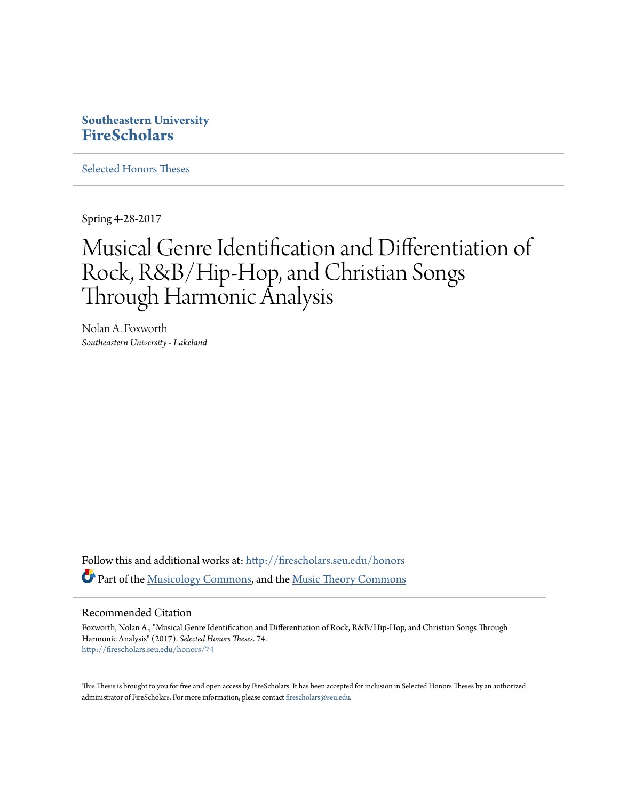# **Southeastern University [FireScholars](http://firescholars.seu.edu?utm_source=firescholars.seu.edu%2Fhonors%2F74&utm_medium=PDF&utm_campaign=PDFCoverPages)**

[Selected Honors Theses](http://firescholars.seu.edu/honors?utm_source=firescholars.seu.edu%2Fhonors%2F74&utm_medium=PDF&utm_campaign=PDFCoverPages)

Spring 4-28-2017

# Musical Genre Identification and Differentiation of Rock, R&B/Hip-Hop, and Christian Songs Through Harmonic Analysis

Nolan A. Foxworth *Southeastern University - Lakeland*

Follow this and additional works at: [http://firescholars.seu.edu/honors](http://firescholars.seu.edu/honors?utm_source=firescholars.seu.edu%2Fhonors%2F74&utm_medium=PDF&utm_campaign=PDFCoverPages) Part of the [Musicology Commons,](http://network.bepress.com/hgg/discipline/521?utm_source=firescholars.seu.edu%2Fhonors%2F74&utm_medium=PDF&utm_campaign=PDFCoverPages) and the [Music Theory Commons](http://network.bepress.com/hgg/discipline/522?utm_source=firescholars.seu.edu%2Fhonors%2F74&utm_medium=PDF&utm_campaign=PDFCoverPages)

#### Recommended Citation

Foxworth, Nolan A., "Musical Genre Identification and Differentiation of Rock, R&B/Hip-Hop, and Christian Songs Through Harmonic Analysis" (2017). *Selected Honors Theses*. 74. [http://firescholars.seu.edu/honors/74](http://firescholars.seu.edu/honors/74?utm_source=firescholars.seu.edu%2Fhonors%2F74&utm_medium=PDF&utm_campaign=PDFCoverPages)

This Thesis is brought to you for free and open access by FireScholars. It has been accepted for inclusion in Selected Honors Theses by an authorized administrator of FireScholars. For more information, please contact [firescholars@seu.edu](mailto:firescholars@seu.edu).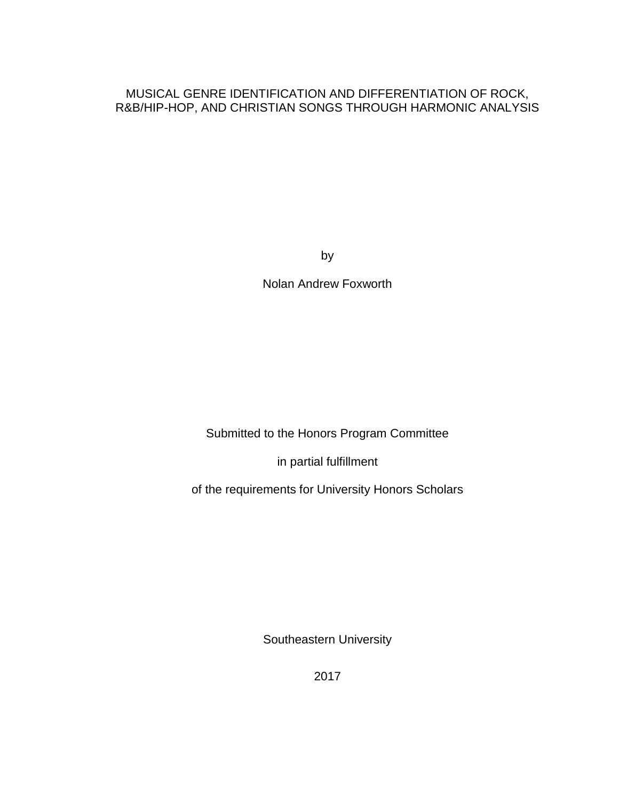# MUSICAL GENRE IDENTIFICATION AND DIFFERENTIATION OF ROCK, R&B/HIP-HOP, AND CHRISTIAN SONGS THROUGH HARMONIC ANALYSIS

by

Nolan Andrew Foxworth

Submitted to the Honors Program Committee

in partial fulfillment

of the requirements for University Honors Scholars

Southeastern University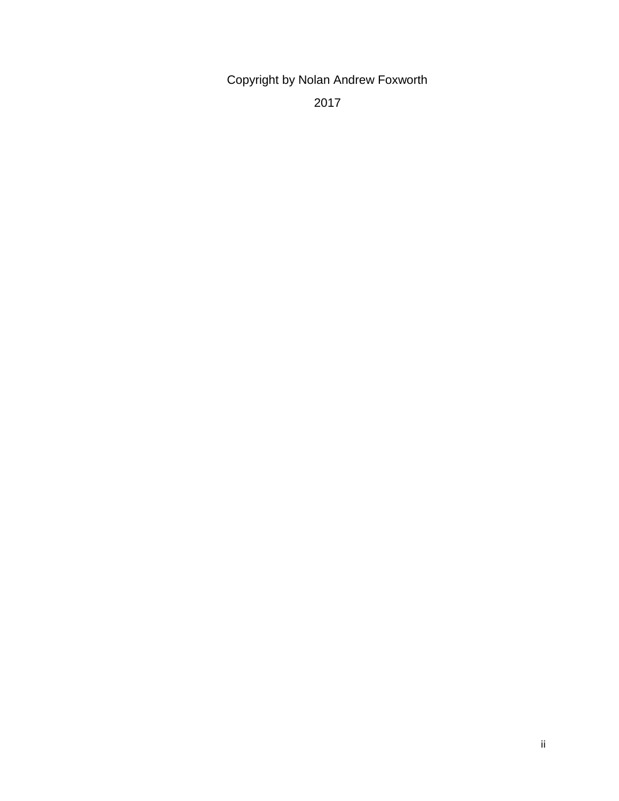Copyright by Nolan Andrew Foxworth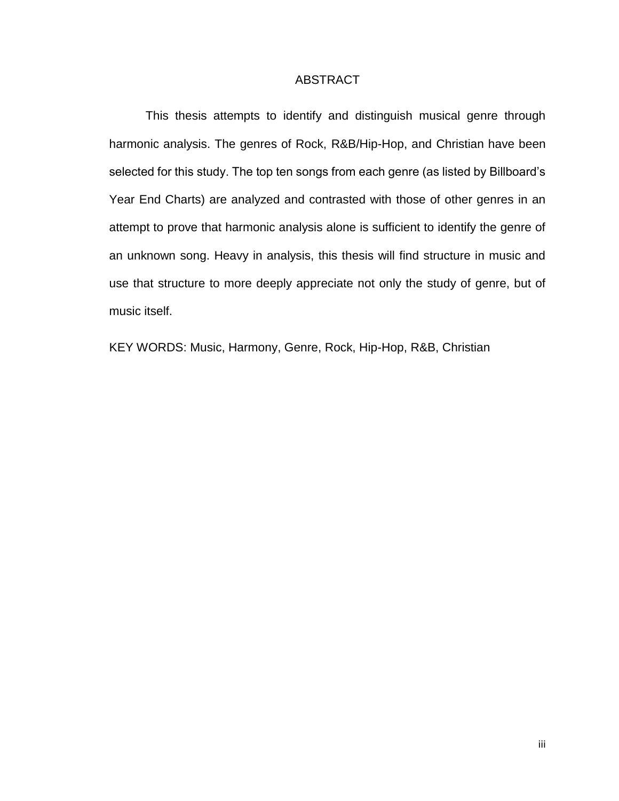#### ABSTRACT

This thesis attempts to identify and distinguish musical genre through harmonic analysis. The genres of Rock, R&B/Hip-Hop, and Christian have been selected for this study. The top ten songs from each genre (as listed by Billboard's Year End Charts) are analyzed and contrasted with those of other genres in an attempt to prove that harmonic analysis alone is sufficient to identify the genre of an unknown song. Heavy in analysis, this thesis will find structure in music and use that structure to more deeply appreciate not only the study of genre, but of music itself.

KEY WORDS: Music, Harmony, Genre, Rock, Hip-Hop, R&B, Christian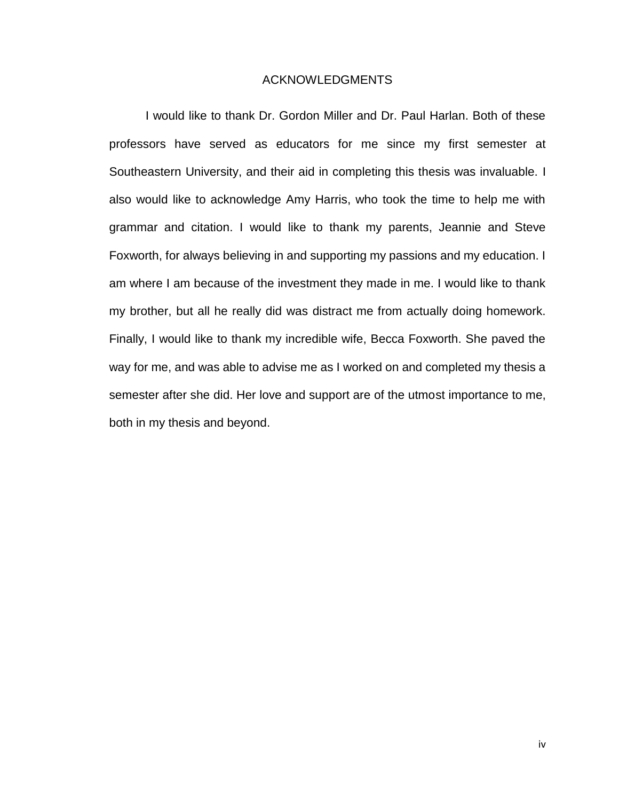#### ACKNOWLEDGMENTS

I would like to thank Dr. Gordon Miller and Dr. Paul Harlan. Both of these professors have served as educators for me since my first semester at Southeastern University, and their aid in completing this thesis was invaluable. I also would like to acknowledge Amy Harris, who took the time to help me with grammar and citation. I would like to thank my parents, Jeannie and Steve Foxworth, for always believing in and supporting my passions and my education. I am where I am because of the investment they made in me. I would like to thank my brother, but all he really did was distract me from actually doing homework. Finally, I would like to thank my incredible wife, Becca Foxworth. She paved the way for me, and was able to advise me as I worked on and completed my thesis a semester after she did. Her love and support are of the utmost importance to me, both in my thesis and beyond.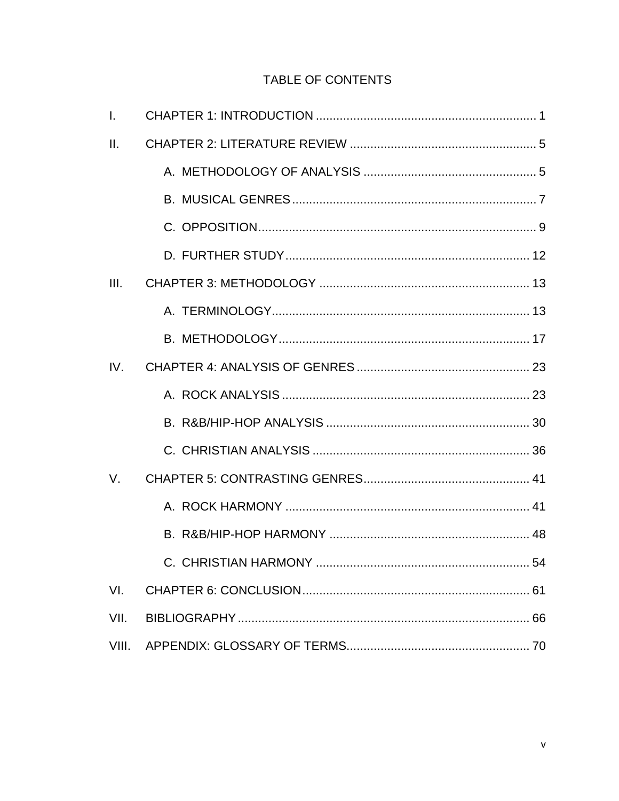# TABLE OF CONTENTS

| $\mathbf{L}$ |  |  |  |  |  |  |  |  |
|--------------|--|--|--|--|--|--|--|--|
| H.           |  |  |  |  |  |  |  |  |
|              |  |  |  |  |  |  |  |  |
|              |  |  |  |  |  |  |  |  |
|              |  |  |  |  |  |  |  |  |
|              |  |  |  |  |  |  |  |  |
| III.         |  |  |  |  |  |  |  |  |
|              |  |  |  |  |  |  |  |  |
|              |  |  |  |  |  |  |  |  |
| IV.          |  |  |  |  |  |  |  |  |
|              |  |  |  |  |  |  |  |  |
|              |  |  |  |  |  |  |  |  |
|              |  |  |  |  |  |  |  |  |
| $V_{\cdot}$  |  |  |  |  |  |  |  |  |
|              |  |  |  |  |  |  |  |  |
|              |  |  |  |  |  |  |  |  |
|              |  |  |  |  |  |  |  |  |
| VI.          |  |  |  |  |  |  |  |  |
| VII.         |  |  |  |  |  |  |  |  |
| VIII.        |  |  |  |  |  |  |  |  |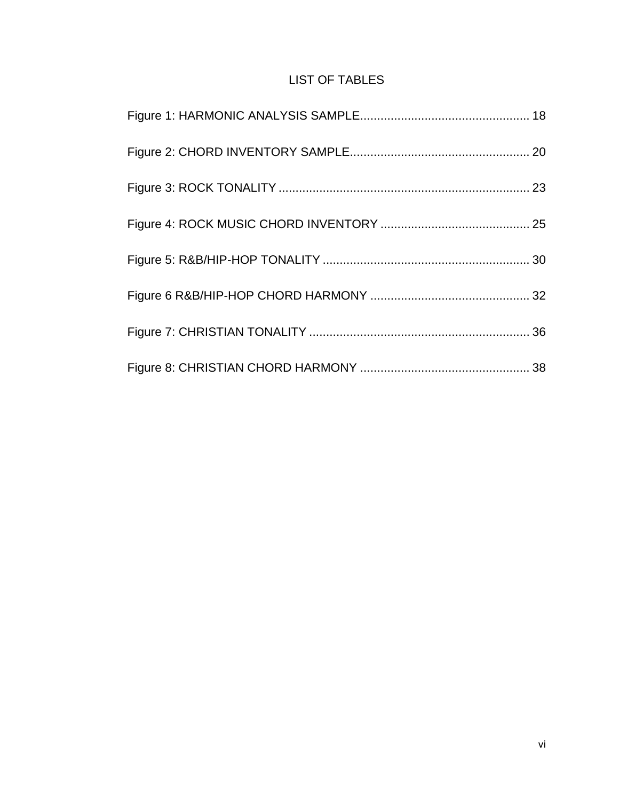# LIST OF TABLES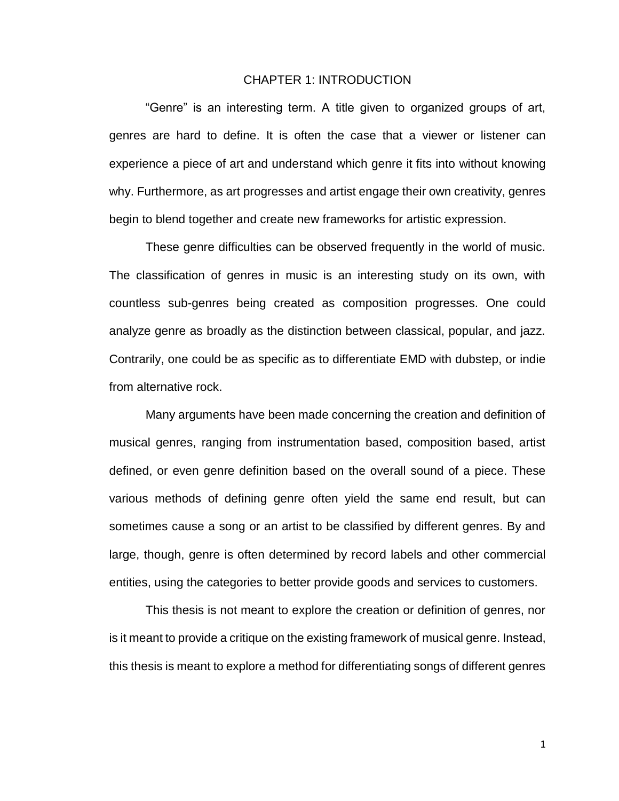#### CHAPTER 1: INTRODUCTION

"Genre" is an interesting term. A title given to organized groups of art, genres are hard to define. It is often the case that a viewer or listener can experience a piece of art and understand which genre it fits into without knowing why. Furthermore, as art progresses and artist engage their own creativity, genres begin to blend together and create new frameworks for artistic expression.

These genre difficulties can be observed frequently in the world of music. The classification of genres in music is an interesting study on its own, with countless sub-genres being created as composition progresses. One could analyze genre as broadly as the distinction between classical, popular, and jazz. Contrarily, one could be as specific as to differentiate EMD with dubstep, or indie from alternative rock.

Many arguments have been made concerning the creation and definition of musical genres, ranging from instrumentation based, composition based, artist defined, or even genre definition based on the overall sound of a piece. These various methods of defining genre often yield the same end result, but can sometimes cause a song or an artist to be classified by different genres. By and large, though, genre is often determined by record labels and other commercial entities, using the categories to better provide goods and services to customers.

This thesis is not meant to explore the creation or definition of genres, nor is it meant to provide a critique on the existing framework of musical genre. Instead, this thesis is meant to explore a method for differentiating songs of different genres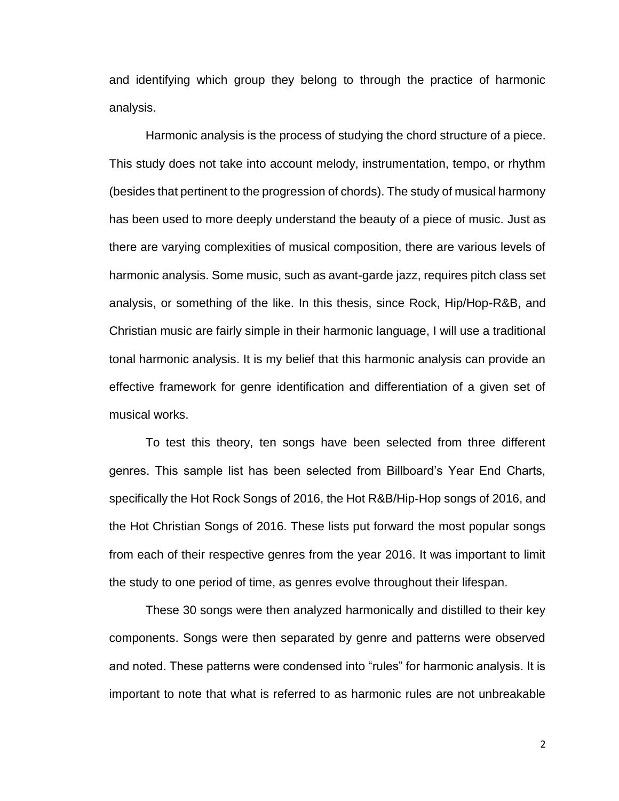and identifying which group they belong to through the practice of harmonic analysis.

Harmonic analysis is the process of studying the chord structure of a piece. This study does not take into account melody, instrumentation, tempo, or rhythm (besides that pertinent to the progression of chords). The study of musical harmony has been used to more deeply understand the beauty of a piece of music. Just as there are varying complexities of musical composition, there are various levels of harmonic analysis. Some music, such as avant-garde jazz, requires pitch class set analysis, or something of the like. In this thesis, since Rock, Hip/Hop-R&B, and Christian music are fairly simple in their harmonic language, I will use a traditional tonal harmonic analysis. It is my belief that this harmonic analysis can provide an effective framework for genre identification and differentiation of a given set of musical works.

To test this theory, ten songs have been selected from three different genres. This sample list has been selected from Billboard's Year End Charts, specifically the Hot Rock Songs of 2016, the Hot R&B/Hip-Hop songs of 2016, and the Hot Christian Songs of 2016. These lists put forward the most popular songs from each of their respective genres from the year 2016. It was important to limit the study to one period of time, as genres evolve throughout their lifespan.

These 30 songs were then analyzed harmonically and distilled to their key components. Songs were then separated by genre and patterns were observed and noted. These patterns were condensed into "rules" for harmonic analysis. It is important to note that what is referred to as harmonic rules are not unbreakable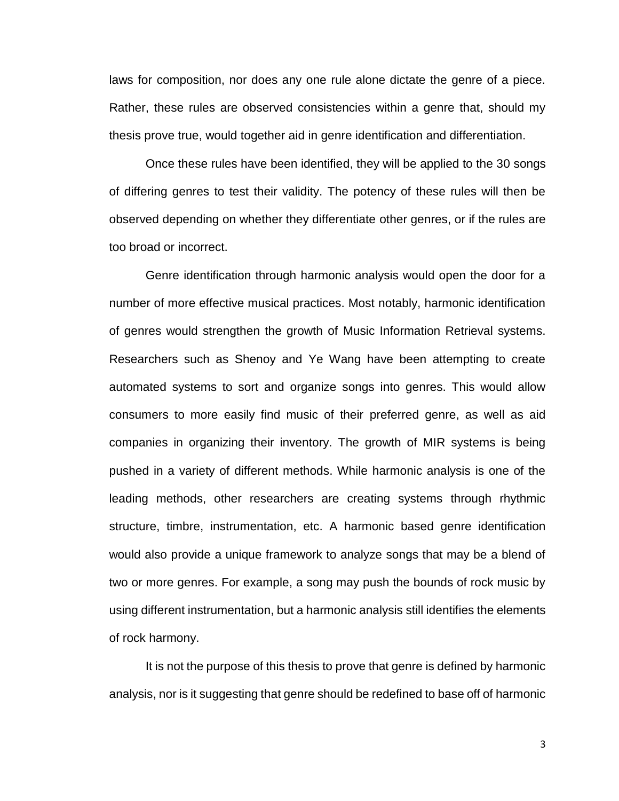laws for composition, nor does any one rule alone dictate the genre of a piece. Rather, these rules are observed consistencies within a genre that, should my thesis prove true, would together aid in genre identification and differentiation.

Once these rules have been identified, they will be applied to the 30 songs of differing genres to test their validity. The potency of these rules will then be observed depending on whether they differentiate other genres, or if the rules are too broad or incorrect.

Genre identification through harmonic analysis would open the door for a number of more effective musical practices. Most notably, harmonic identification of genres would strengthen the growth of Music Information Retrieval systems. Researchers such as Shenoy and Ye Wang have been attempting to create automated systems to sort and organize songs into genres. This would allow consumers to more easily find music of their preferred genre, as well as aid companies in organizing their inventory. The growth of MIR systems is being pushed in a variety of different methods. While harmonic analysis is one of the leading methods, other researchers are creating systems through rhythmic structure, timbre, instrumentation, etc. A harmonic based genre identification would also provide a unique framework to analyze songs that may be a blend of two or more genres. For example, a song may push the bounds of rock music by using different instrumentation, but a harmonic analysis still identifies the elements of rock harmony.

It is not the purpose of this thesis to prove that genre is defined by harmonic analysis, nor is it suggesting that genre should be redefined to base off of harmonic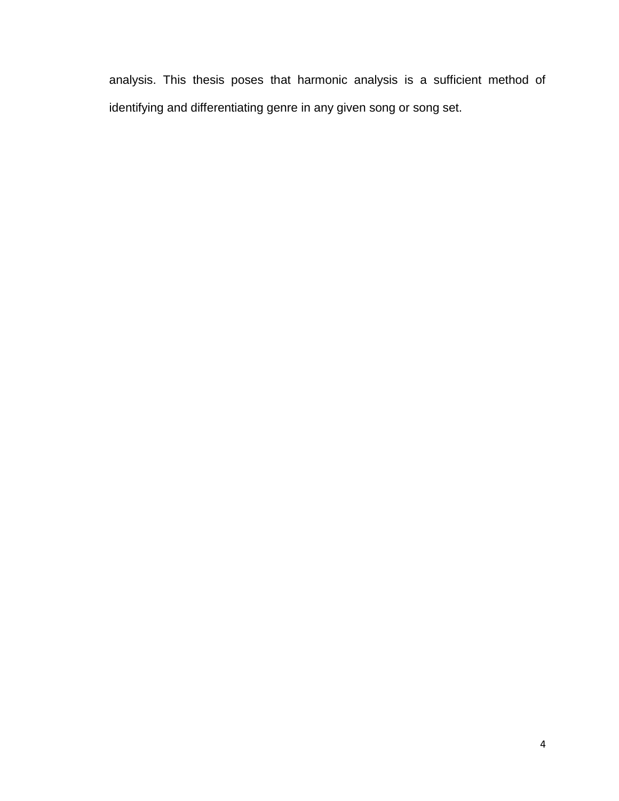analysis. This thesis poses that harmonic analysis is a sufficient method of identifying and differentiating genre in any given song or song set.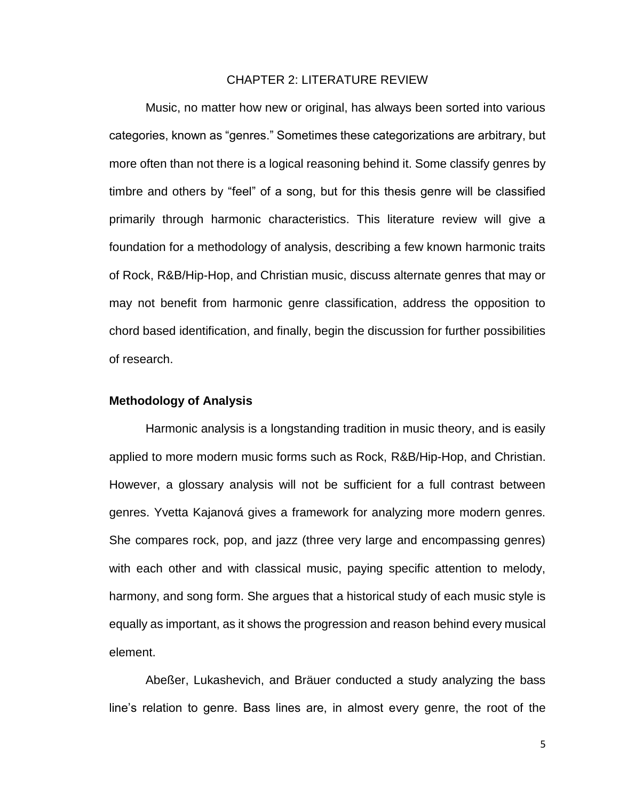#### CHAPTER 2: LITERATURE REVIEW

Music, no matter how new or original, has always been sorted into various categories, known as "genres." Sometimes these categorizations are arbitrary, but more often than not there is a logical reasoning behind it. Some classify genres by timbre and others by "feel" of a song, but for this thesis genre will be classified primarily through harmonic characteristics. This literature review will give a foundation for a methodology of analysis, describing a few known harmonic traits of Rock, R&B/Hip-Hop, and Christian music, discuss alternate genres that may or may not benefit from harmonic genre classification, address the opposition to chord based identification, and finally, begin the discussion for further possibilities of research.

#### **Methodology of Analysis**

Harmonic analysis is a longstanding tradition in music theory, and is easily applied to more modern music forms such as Rock, R&B/Hip-Hop, and Christian. However, a glossary analysis will not be sufficient for a full contrast between genres. Yvetta Kajanová gives a framework for analyzing more modern genres. She compares rock, pop, and jazz (three very large and encompassing genres) with each other and with classical music, paying specific attention to melody, harmony, and song form. She argues that a historical study of each music style is equally as important, as it shows the progression and reason behind every musical element.

Abeßer, Lukashevich, and Bräuer conducted a study analyzing the bass line's relation to genre. Bass lines are, in almost every genre, the root of the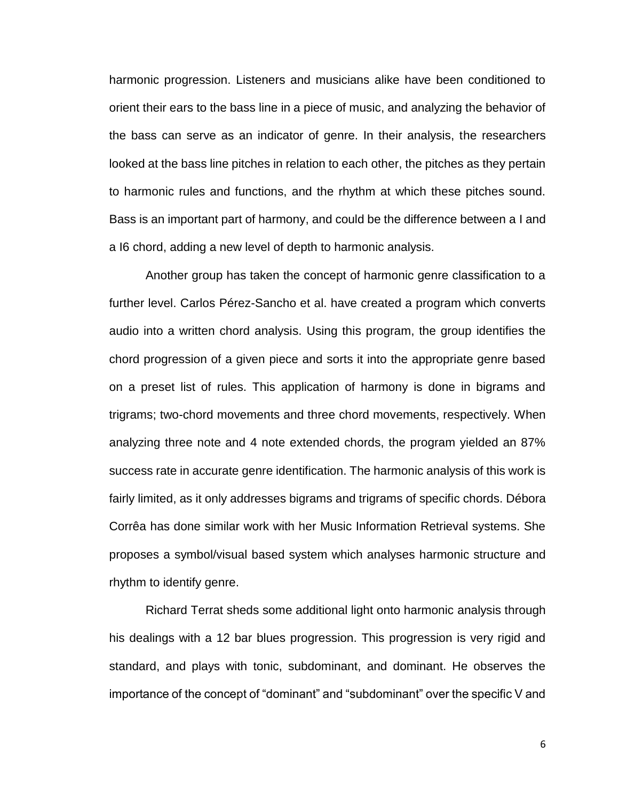harmonic progression. Listeners and musicians alike have been conditioned to orient their ears to the bass line in a piece of music, and analyzing the behavior of the bass can serve as an indicator of genre. In their analysis, the researchers looked at the bass line pitches in relation to each other, the pitches as they pertain to harmonic rules and functions, and the rhythm at which these pitches sound. Bass is an important part of harmony, and could be the difference between a I and a I6 chord, adding a new level of depth to harmonic analysis.

Another group has taken the concept of harmonic genre classification to a further level. Carlos Pérez-Sancho et al. have created a program which converts audio into a written chord analysis. Using this program, the group identifies the chord progression of a given piece and sorts it into the appropriate genre based on a preset list of rules. This application of harmony is done in bigrams and trigrams; two-chord movements and three chord movements, respectively. When analyzing three note and 4 note extended chords, the program yielded an 87% success rate in accurate genre identification. The harmonic analysis of this work is fairly limited, as it only addresses bigrams and trigrams of specific chords. Débora Corrêa has done similar work with her Music Information Retrieval systems. She proposes a symbol/visual based system which analyses harmonic structure and rhythm to identify genre.

Richard Terrat sheds some additional light onto harmonic analysis through his dealings with a 12 bar blues progression. This progression is very rigid and standard, and plays with tonic, subdominant, and dominant. He observes the importance of the concept of "dominant" and "subdominant" over the specific V and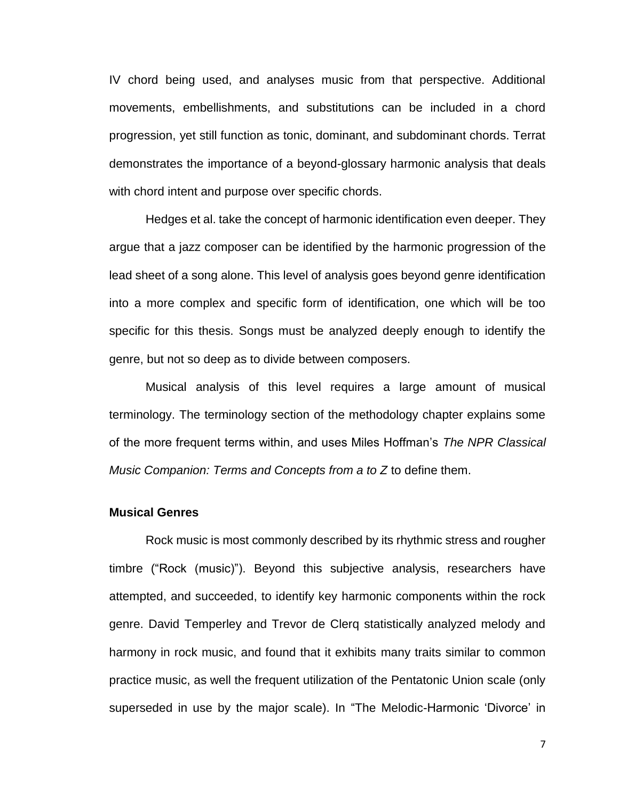IV chord being used, and analyses music from that perspective. Additional movements, embellishments, and substitutions can be included in a chord progression, yet still function as tonic, dominant, and subdominant chords. Terrat demonstrates the importance of a beyond-glossary harmonic analysis that deals with chord intent and purpose over specific chords.

Hedges et al. take the concept of harmonic identification even deeper. They argue that a jazz composer can be identified by the harmonic progression of the lead sheet of a song alone. This level of analysis goes beyond genre identification into a more complex and specific form of identification, one which will be too specific for this thesis. Songs must be analyzed deeply enough to identify the genre, but not so deep as to divide between composers.

Musical analysis of this level requires a large amount of musical terminology. The terminology section of the methodology chapter explains some of the more frequent terms within, and uses Miles Hoffman's *The NPR Classical Music Companion: Terms and Concepts from a to Z* to define them.

#### **Musical Genres**

Rock music is most commonly described by its rhythmic stress and rougher timbre ("Rock (music)"). Beyond this subjective analysis, researchers have attempted, and succeeded, to identify key harmonic components within the rock genre. David Temperley and Trevor de Clerq statistically analyzed melody and harmony in rock music, and found that it exhibits many traits similar to common practice music, as well the frequent utilization of the Pentatonic Union scale (only superseded in use by the major scale). In "The Melodic-Harmonic 'Divorce' in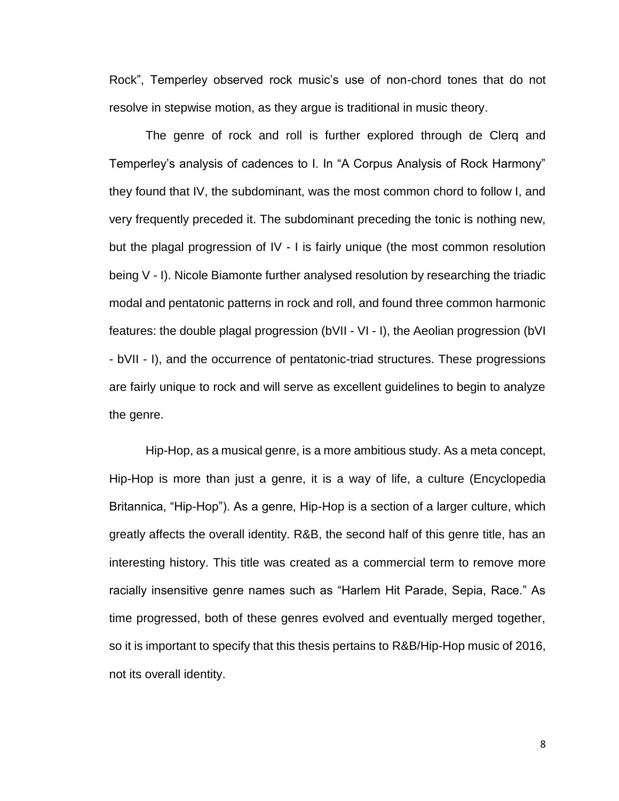Rock", Temperley observed rock music's use of non-chord tones that do not resolve in stepwise motion, as they argue is traditional in music theory.

The genre of rock and roll is further explored through de Clerq and Temperley's analysis of cadences to I. In "A Corpus Analysis of Rock Harmony" they found that IV, the subdominant, was the most common chord to follow I, and very frequently preceded it. The subdominant preceding the tonic is nothing new, but the plagal progression of IV - I is fairly unique (the most common resolution being V - I). Nicole Biamonte further analysed resolution by researching the triadic modal and pentatonic patterns in rock and roll, and found three common harmonic features: the double plagal progression (bVII - VI - I), the Aeolian progression (bVI - bVII - I), and the occurrence of pentatonic-triad structures. These progressions are fairly unique to rock and will serve as excellent guidelines to begin to analyze the genre.

Hip-Hop, as a musical genre, is a more ambitious study. As a meta concept, Hip-Hop is more than just a genre, it is a way of life, a culture (Encyclopedia Britannica, "Hip-Hop"). As a genre, Hip-Hop is a section of a larger culture, which greatly affects the overall identity. R&B, the second half of this genre title, has an interesting history. This title was created as a commercial term to remove more racially insensitive genre names such as "Harlem Hit Parade, Sepia, Race." As time progressed, both of these genres evolved and eventually merged together, so it is important to specify that this thesis pertains to R&B/Hip-Hop music of 2016, not its overall identity.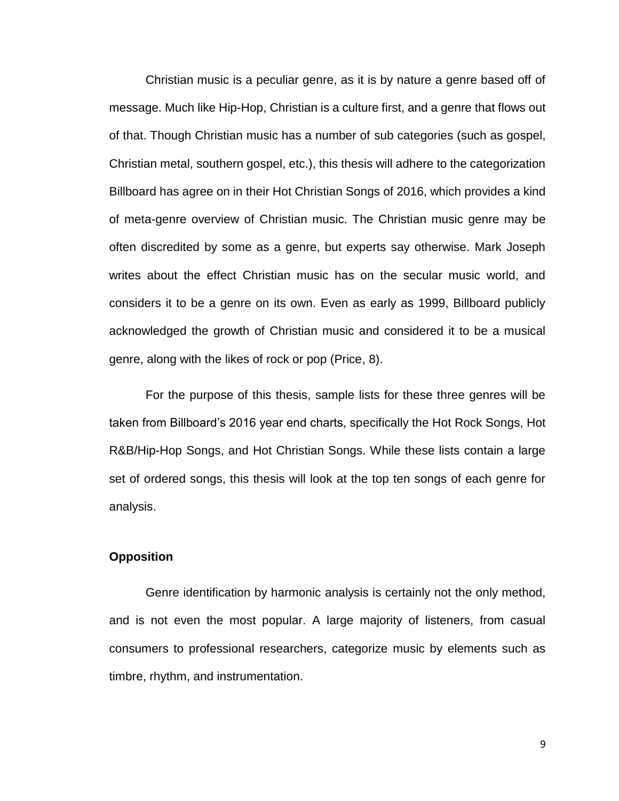Christian music is a peculiar genre, as it is by nature a genre based off of message. Much like Hip-Hop, Christian is a culture first, and a genre that flows out of that. Though Christian music has a number of sub categories (such as gospel, Christian metal, southern gospel, etc.), this thesis will adhere to the categorization Billboard has agree on in their Hot Christian Songs of 2016, which provides a kind of meta-genre overview of Christian music. The Christian music genre may be often discredited by some as a genre, but experts say otherwise. Mark Joseph writes about the effect Christian music has on the secular music world, and considers it to be a genre on its own. Even as early as 1999, Billboard publicly acknowledged the growth of Christian music and considered it to be a musical genre, along with the likes of rock or pop (Price, 8).

For the purpose of this thesis, sample lists for these three genres will be taken from Billboard's 2016 year end charts, specifically the Hot Rock Songs, Hot R&B/Hip-Hop Songs, and Hot Christian Songs. While these lists contain a large set of ordered songs, this thesis will look at the top ten songs of each genre for analysis.

## **Opposition**

Genre identification by harmonic analysis is certainly not the only method, and is not even the most popular. A large majority of listeners, from casual consumers to professional researchers, categorize music by elements such as timbre, rhythm, and instrumentation.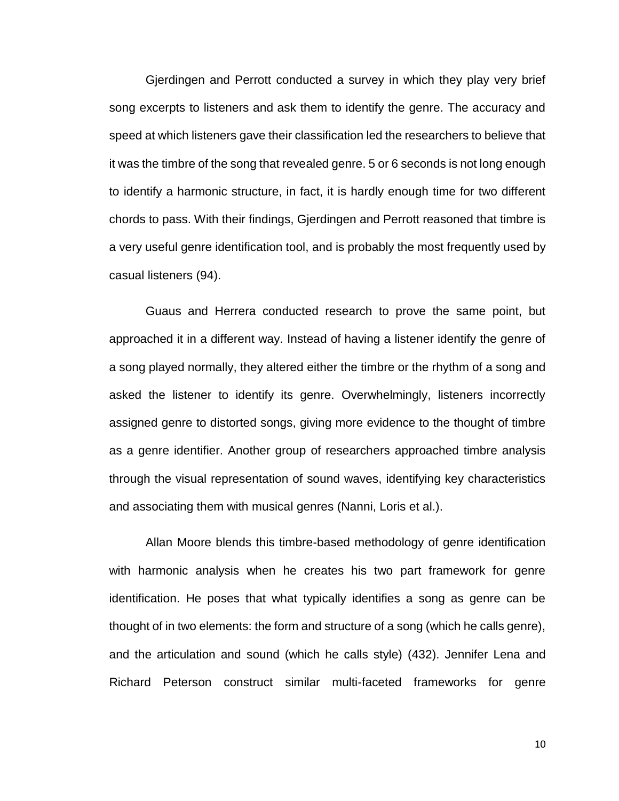Gjerdingen and Perrott conducted a survey in which they play very brief song excerpts to listeners and ask them to identify the genre. The accuracy and speed at which listeners gave their classification led the researchers to believe that it was the timbre of the song that revealed genre. 5 or 6 seconds is not long enough to identify a harmonic structure, in fact, it is hardly enough time for two different chords to pass. With their findings, Gjerdingen and Perrott reasoned that timbre is a very useful genre identification tool, and is probably the most frequently used by casual listeners (94).

Guaus and Herrera conducted research to prove the same point, but approached it in a different way. Instead of having a listener identify the genre of a song played normally, they altered either the timbre or the rhythm of a song and asked the listener to identify its genre. Overwhelmingly, listeners incorrectly assigned genre to distorted songs, giving more evidence to the thought of timbre as a genre identifier. Another group of researchers approached timbre analysis through the visual representation of sound waves, identifying key characteristics and associating them with musical genres (Nanni, Loris et al.).

Allan Moore blends this timbre-based methodology of genre identification with harmonic analysis when he creates his two part framework for genre identification. He poses that what typically identifies a song as genre can be thought of in two elements: the form and structure of a song (which he calls genre), and the articulation and sound (which he calls style) (432). Jennifer Lena and Richard Peterson construct similar multi-faceted frameworks for genre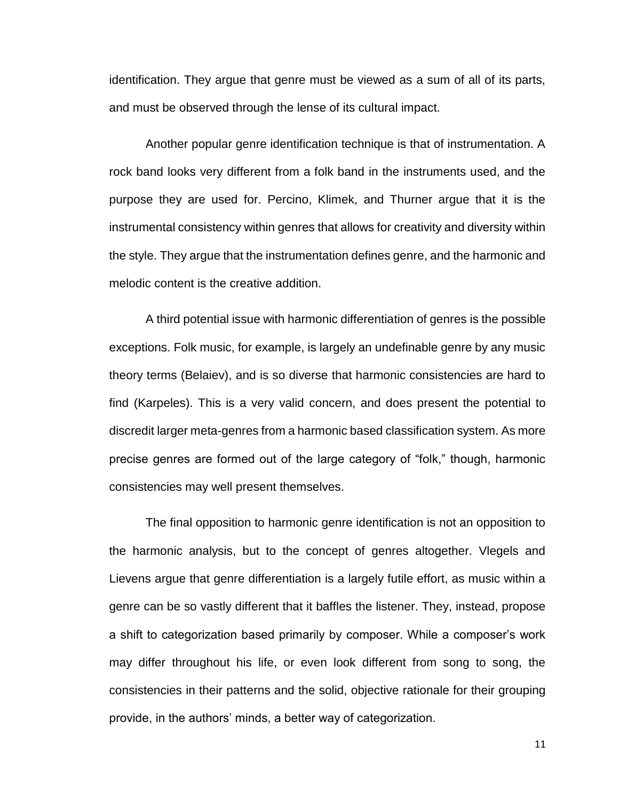identification. They argue that genre must be viewed as a sum of all of its parts, and must be observed through the lense of its cultural impact.

Another popular genre identification technique is that of instrumentation. A rock band looks very different from a folk band in the instruments used, and the purpose they are used for. Percino, Klimek, and Thurner argue that it is the instrumental consistency within genres that allows for creativity and diversity within the style. They argue that the instrumentation defines genre, and the harmonic and melodic content is the creative addition.

A third potential issue with harmonic differentiation of genres is the possible exceptions. Folk music, for example, is largely an undefinable genre by any music theory terms (Belaiev), and is so diverse that harmonic consistencies are hard to find (Karpeles). This is a very valid concern, and does present the potential to discredit larger meta-genres from a harmonic based classification system. As more precise genres are formed out of the large category of "folk," though, harmonic consistencies may well present themselves.

The final opposition to harmonic genre identification is not an opposition to the harmonic analysis, but to the concept of genres altogether. Vlegels and Lievens argue that genre differentiation is a largely futile effort, as music within a genre can be so vastly different that it baffles the listener. They, instead, propose a shift to categorization based primarily by composer. While a composer's work may differ throughout his life, or even look different from song to song, the consistencies in their patterns and the solid, objective rationale for their grouping provide, in the authors' minds, a better way of categorization.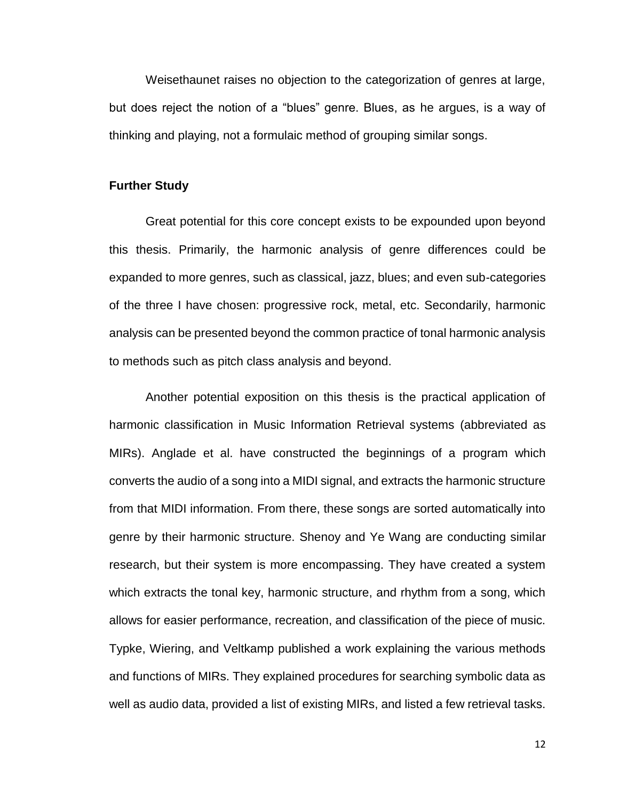Weisethaunet raises no objection to the categorization of genres at large, but does reject the notion of a "blues" genre. Blues, as he argues, is a way of thinking and playing, not a formulaic method of grouping similar songs.

## **Further Study**

Great potential for this core concept exists to be expounded upon beyond this thesis. Primarily, the harmonic analysis of genre differences could be expanded to more genres, such as classical, jazz, blues; and even sub-categories of the three I have chosen: progressive rock, metal, etc. Secondarily, harmonic analysis can be presented beyond the common practice of tonal harmonic analysis to methods such as pitch class analysis and beyond.

Another potential exposition on this thesis is the practical application of harmonic classification in Music Information Retrieval systems (abbreviated as MIRs). Anglade et al. have constructed the beginnings of a program which converts the audio of a song into a MIDI signal, and extracts the harmonic structure from that MIDI information. From there, these songs are sorted automatically into genre by their harmonic structure. Shenoy and Ye Wang are conducting similar research, but their system is more encompassing. They have created a system which extracts the tonal key, harmonic structure, and rhythm from a song, which allows for easier performance, recreation, and classification of the piece of music. Typke, Wiering, and Veltkamp published a work explaining the various methods and functions of MIRs. They explained procedures for searching symbolic data as well as audio data, provided a list of existing MIRs, and listed a few retrieval tasks.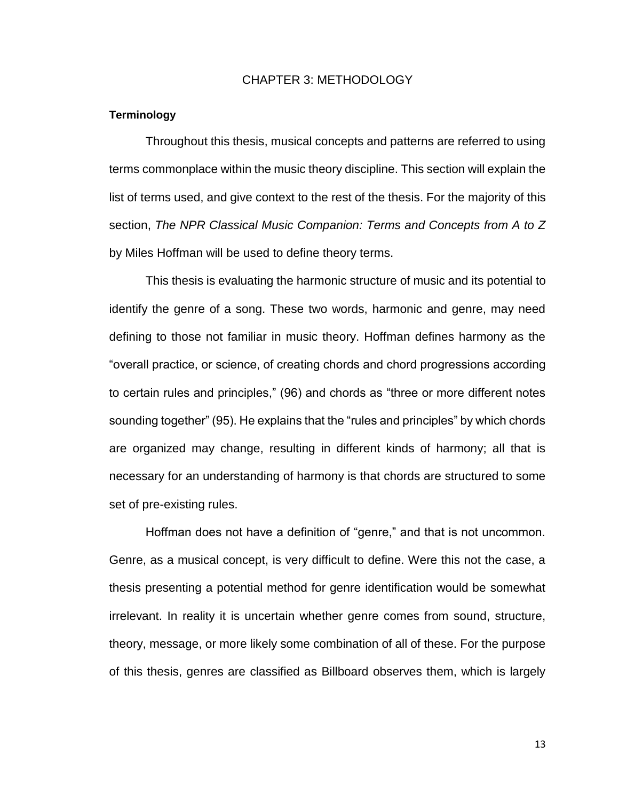#### CHAPTER 3: METHODOLOGY

#### **Terminology**

Throughout this thesis, musical concepts and patterns are referred to using terms commonplace within the music theory discipline. This section will explain the list of terms used, and give context to the rest of the thesis. For the majority of this section, *The NPR Classical Music Companion: Terms and Concepts from A to Z* by Miles Hoffman will be used to define theory terms.

This thesis is evaluating the harmonic structure of music and its potential to identify the genre of a song. These two words, harmonic and genre, may need defining to those not familiar in music theory. Hoffman defines harmony as the "overall practice, or science, of creating chords and chord progressions according to certain rules and principles," (96) and chords as "three or more different notes sounding together" (95). He explains that the "rules and principles" by which chords are organized may change, resulting in different kinds of harmony; all that is necessary for an understanding of harmony is that chords are structured to some set of pre-existing rules.

Hoffman does not have a definition of "genre," and that is not uncommon. Genre, as a musical concept, is very difficult to define. Were this not the case, a thesis presenting a potential method for genre identification would be somewhat irrelevant. In reality it is uncertain whether genre comes from sound, structure, theory, message, or more likely some combination of all of these. For the purpose of this thesis, genres are classified as Billboard observes them, which is largely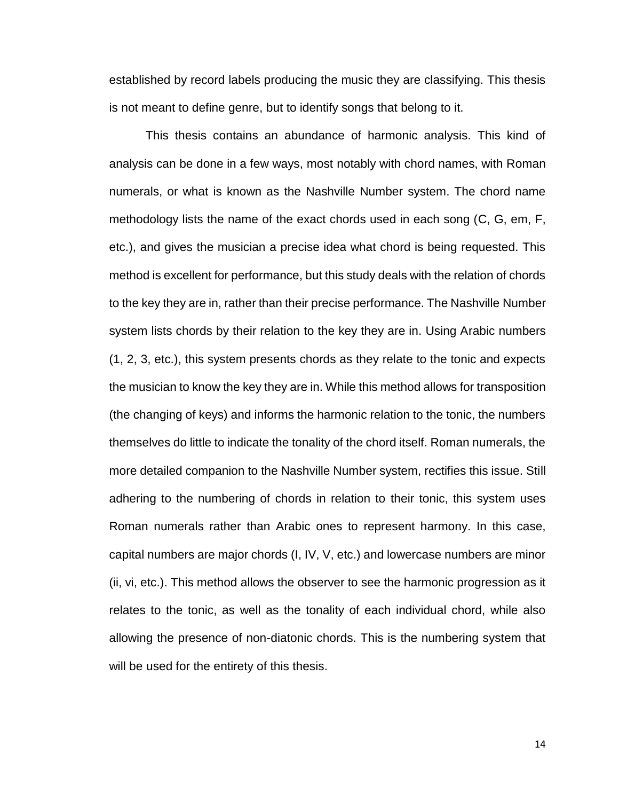established by record labels producing the music they are classifying. This thesis is not meant to define genre, but to identify songs that belong to it.

This thesis contains an abundance of harmonic analysis. This kind of analysis can be done in a few ways, most notably with chord names, with Roman numerals, or what is known as the Nashville Number system. The chord name methodology lists the name of the exact chords used in each song (C, G, em, F, etc.), and gives the musician a precise idea what chord is being requested. This method is excellent for performance, but this study deals with the relation of chords to the key they are in, rather than their precise performance. The Nashville Number system lists chords by their relation to the key they are in. Using Arabic numbers (1, 2, 3, etc.), this system presents chords as they relate to the tonic and expects the musician to know the key they are in. While this method allows for transposition (the changing of keys) and informs the harmonic relation to the tonic, the numbers themselves do little to indicate the tonality of the chord itself. Roman numerals, the more detailed companion to the Nashville Number system, rectifies this issue. Still adhering to the numbering of chords in relation to their tonic, this system uses Roman numerals rather than Arabic ones to represent harmony. In this case, capital numbers are major chords (I, IV, V, etc.) and lowercase numbers are minor (ii, vi, etc.). This method allows the observer to see the harmonic progression as it relates to the tonic, as well as the tonality of each individual chord, while also allowing the presence of non-diatonic chords. This is the numbering system that will be used for the entirety of this thesis.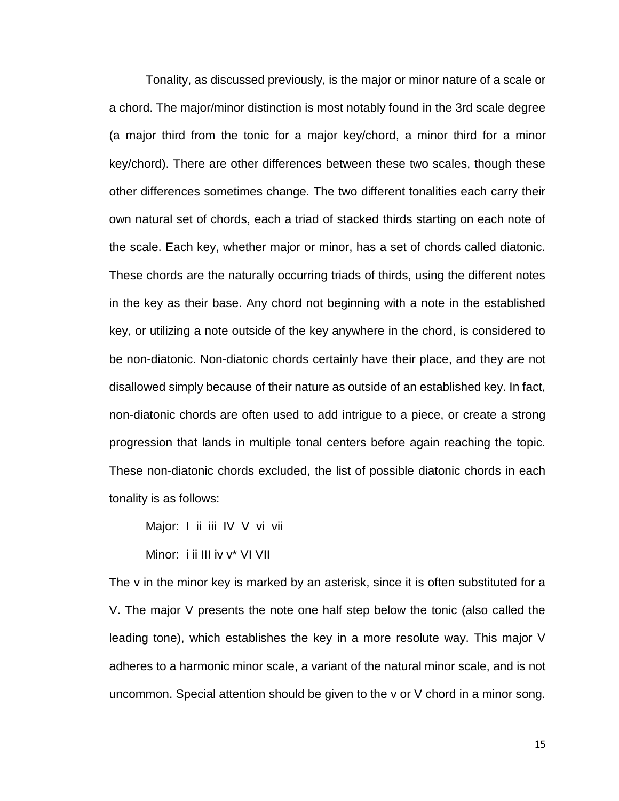Tonality, as discussed previously, is the major or minor nature of a scale or a chord. The major/minor distinction is most notably found in the 3rd scale degree (a major third from the tonic for a major key/chord, a minor third for a minor key/chord). There are other differences between these two scales, though these other differences sometimes change. The two different tonalities each carry their own natural set of chords, each a triad of stacked thirds starting on each note of the scale. Each key, whether major or minor, has a set of chords called diatonic. These chords are the naturally occurring triads of thirds, using the different notes in the key as their base. Any chord not beginning with a note in the established key, or utilizing a note outside of the key anywhere in the chord, is considered to be non-diatonic. Non-diatonic chords certainly have their place, and they are not disallowed simply because of their nature as outside of an established key. In fact, non-diatonic chords are often used to add intrigue to a piece, or create a strong progression that lands in multiple tonal centers before again reaching the topic. These non-diatonic chords excluded, the list of possible diatonic chords in each tonality is as follows:

Major: I ii iii IV V vi vii

Minor: i ii III iv v\* VI VII

The v in the minor key is marked by an asterisk, since it is often substituted for a V. The major V presents the note one half step below the tonic (also called the leading tone), which establishes the key in a more resolute way. This major V adheres to a harmonic minor scale, a variant of the natural minor scale, and is not uncommon. Special attention should be given to the v or V chord in a minor song.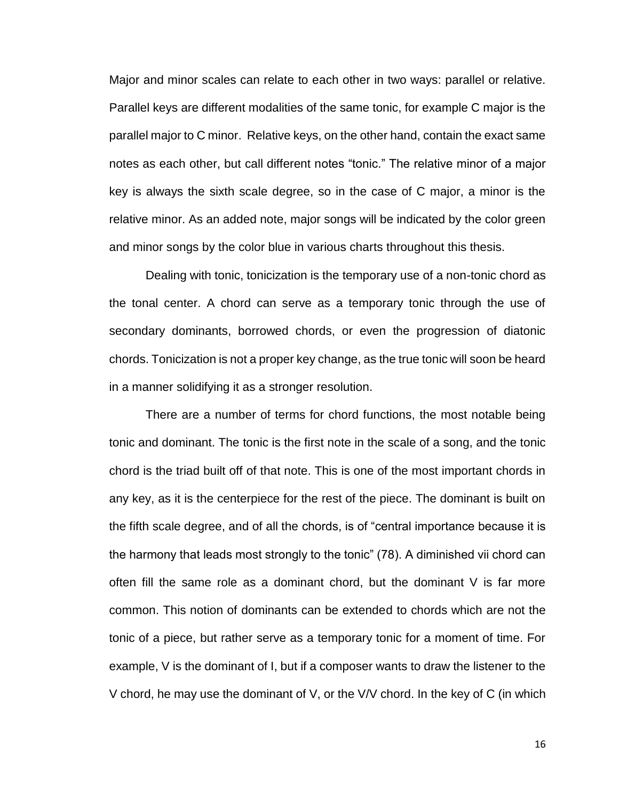Major and minor scales can relate to each other in two ways: parallel or relative. Parallel keys are different modalities of the same tonic, for example C major is the parallel major to C minor. Relative keys, on the other hand, contain the exact same notes as each other, but call different notes "tonic." The relative minor of a major key is always the sixth scale degree, so in the case of C major, a minor is the relative minor. As an added note, major songs will be indicated by the color green and minor songs by the color blue in various charts throughout this thesis.

Dealing with tonic, tonicization is the temporary use of a non-tonic chord as the tonal center. A chord can serve as a temporary tonic through the use of secondary dominants, borrowed chords, or even the progression of diatonic chords. Tonicization is not a proper key change, as the true tonic will soon be heard in a manner solidifying it as a stronger resolution.

There are a number of terms for chord functions, the most notable being tonic and dominant. The tonic is the first note in the scale of a song, and the tonic chord is the triad built off of that note. This is one of the most important chords in any key, as it is the centerpiece for the rest of the piece. The dominant is built on the fifth scale degree, and of all the chords, is of "central importance because it is the harmony that leads most strongly to the tonic" (78). A diminished vii chord can often fill the same role as a dominant chord, but the dominant V is far more common. This notion of dominants can be extended to chords which are not the tonic of a piece, but rather serve as a temporary tonic for a moment of time. For example, V is the dominant of I, but if a composer wants to draw the listener to the V chord, he may use the dominant of V, or the V/V chord. In the key of C (in which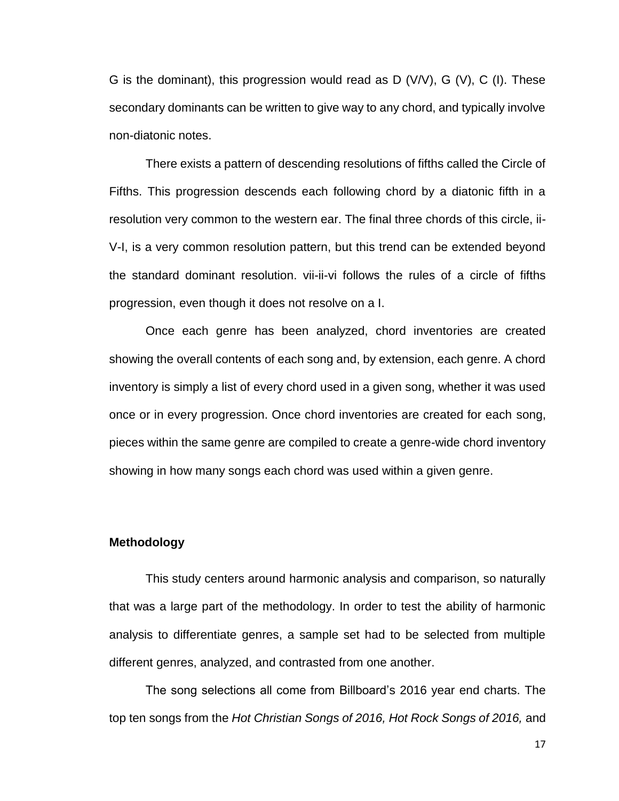G is the dominant), this progression would read as D (V/V), G (V), C (I). These secondary dominants can be written to give way to any chord, and typically involve non-diatonic notes.

There exists a pattern of descending resolutions of fifths called the Circle of Fifths. This progression descends each following chord by a diatonic fifth in a resolution very common to the western ear. The final three chords of this circle, ii-V-I, is a very common resolution pattern, but this trend can be extended beyond the standard dominant resolution. vii-ii-vi follows the rules of a circle of fifths progression, even though it does not resolve on a I.

Once each genre has been analyzed, chord inventories are created showing the overall contents of each song and, by extension, each genre. A chord inventory is simply a list of every chord used in a given song, whether it was used once or in every progression. Once chord inventories are created for each song, pieces within the same genre are compiled to create a genre-wide chord inventory showing in how many songs each chord was used within a given genre.

#### **Methodology**

This study centers around harmonic analysis and comparison, so naturally that was a large part of the methodology. In order to test the ability of harmonic analysis to differentiate genres, a sample set had to be selected from multiple different genres, analyzed, and contrasted from one another.

The song selections all come from Billboard's 2016 year end charts. The top ten songs from the *Hot Christian Songs of 2016, Hot Rock Songs of 2016,* and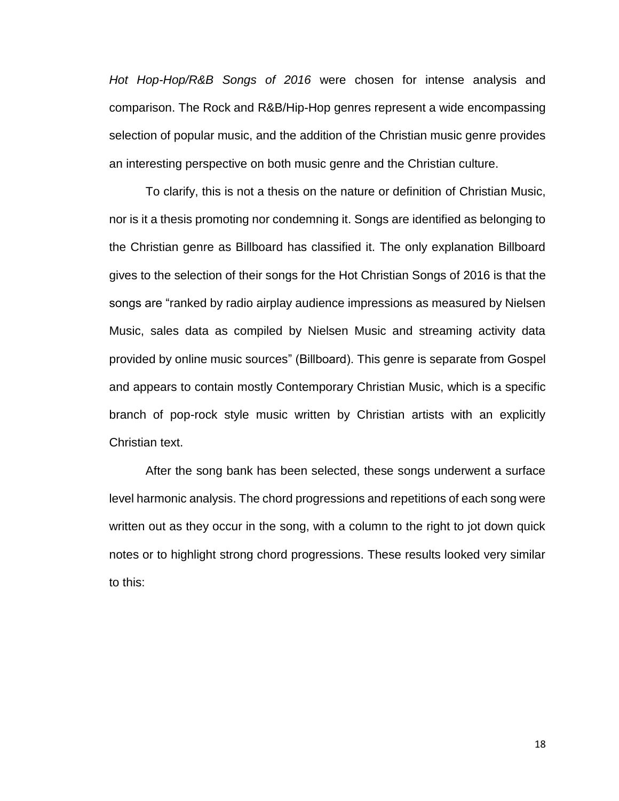*Hot Hop-Hop/R&B Songs of 2016* were chosen for intense analysis and comparison. The Rock and R&B/Hip-Hop genres represent a wide encompassing selection of popular music, and the addition of the Christian music genre provides an interesting perspective on both music genre and the Christian culture.

To clarify, this is not a thesis on the nature or definition of Christian Music, nor is it a thesis promoting nor condemning it. Songs are identified as belonging to the Christian genre as Billboard has classified it. The only explanation Billboard gives to the selection of their songs for the Hot Christian Songs of 2016 is that the songs are "ranked by radio airplay audience impressions as measured by Nielsen Music, sales data as compiled by Nielsen Music and streaming activity data provided by online music sources" (Billboard). This genre is separate from Gospel and appears to contain mostly Contemporary Christian Music, which is a specific branch of pop-rock style music written by Christian artists with an explicitly Christian text.

After the song bank has been selected, these songs underwent a surface level harmonic analysis. The chord progressions and repetitions of each song were written out as they occur in the song, with a column to the right to jot down quick notes or to highlight strong chord progressions. These results looked very similar to this: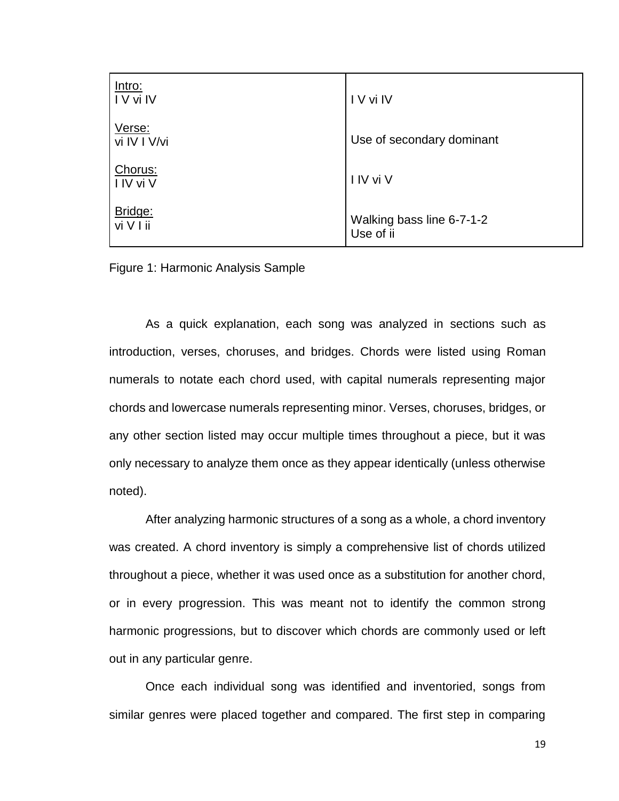| Intro:<br>IV vi IV     | I V vi IV                              |
|------------------------|----------------------------------------|
| Verse:<br>vi IV I V/vi | Use of secondary dominant              |
| Chorus:<br>I IV vi V   | I IV vi V                              |
| Bridge:<br>vi V I ii   | Walking bass line 6-7-1-2<br>Use of ii |

Figure 1: Harmonic Analysis Sample

As a quick explanation, each song was analyzed in sections such as introduction, verses, choruses, and bridges. Chords were listed using Roman numerals to notate each chord used, with capital numerals representing major chords and lowercase numerals representing minor. Verses, choruses, bridges, or any other section listed may occur multiple times throughout a piece, but it was only necessary to analyze them once as they appear identically (unless otherwise noted).

After analyzing harmonic structures of a song as a whole, a chord inventory was created. A chord inventory is simply a comprehensive list of chords utilized throughout a piece, whether it was used once as a substitution for another chord, or in every progression. This was meant not to identify the common strong harmonic progressions, but to discover which chords are commonly used or left out in any particular genre.

Once each individual song was identified and inventoried, songs from similar genres were placed together and compared. The first step in comparing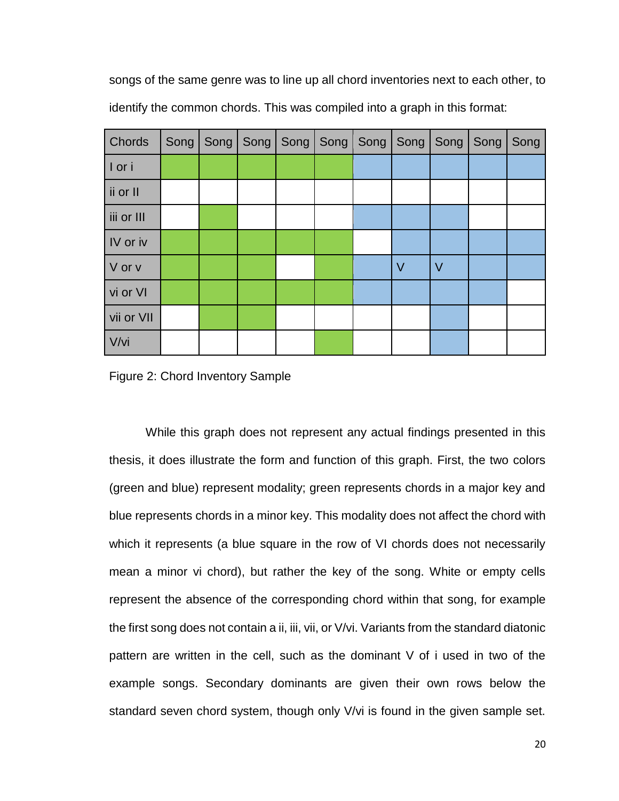songs of the same genre was to line up all chord inventories next to each other, to identify the common chords. This was compiled into a graph in this format:

| <b>Chords</b> | Song   Song   Song   Song   Song   Song   Song   Song   Song |  |  |        |        | Song |
|---------------|--------------------------------------------------------------|--|--|--------|--------|------|
| I or i        |                                                              |  |  |        |        |      |
| ii or II      |                                                              |  |  |        |        |      |
| iii or III    |                                                              |  |  |        |        |      |
| IV or iv      |                                                              |  |  |        |        |      |
| V or v        |                                                              |  |  | $\vee$ | $\vee$ |      |
| vi or VI      |                                                              |  |  |        |        |      |
| vii or VII    |                                                              |  |  |        |        |      |
| V/vi          |                                                              |  |  |        |        |      |

Figure 2: Chord Inventory Sample

While this graph does not represent any actual findings presented in this thesis, it does illustrate the form and function of this graph. First, the two colors (green and blue) represent modality; green represents chords in a major key and blue represents chords in a minor key. This modality does not affect the chord with which it represents (a blue square in the row of VI chords does not necessarily mean a minor vi chord), but rather the key of the song. White or empty cells represent the absence of the corresponding chord within that song, for example the first song does not contain a ii, iii, vii, or V/vi. Variants from the standard diatonic pattern are written in the cell, such as the dominant V of i used in two of the example songs. Secondary dominants are given their own rows below the standard seven chord system, though only V/vi is found in the given sample set.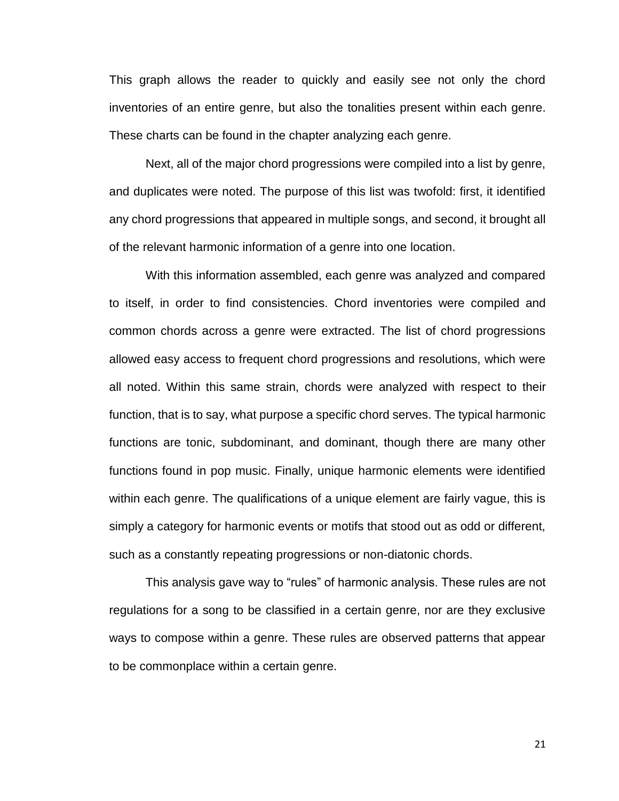This graph allows the reader to quickly and easily see not only the chord inventories of an entire genre, but also the tonalities present within each genre. These charts can be found in the chapter analyzing each genre.

Next, all of the major chord progressions were compiled into a list by genre, and duplicates were noted. The purpose of this list was twofold: first, it identified any chord progressions that appeared in multiple songs, and second, it brought all of the relevant harmonic information of a genre into one location.

With this information assembled, each genre was analyzed and compared to itself, in order to find consistencies. Chord inventories were compiled and common chords across a genre were extracted. The list of chord progressions allowed easy access to frequent chord progressions and resolutions, which were all noted. Within this same strain, chords were analyzed with respect to their function, that is to say, what purpose a specific chord serves. The typical harmonic functions are tonic, subdominant, and dominant, though there are many other functions found in pop music. Finally, unique harmonic elements were identified within each genre. The qualifications of a unique element are fairly vague, this is simply a category for harmonic events or motifs that stood out as odd or different, such as a constantly repeating progressions or non-diatonic chords.

This analysis gave way to "rules" of harmonic analysis. These rules are not regulations for a song to be classified in a certain genre, nor are they exclusive ways to compose within a genre. These rules are observed patterns that appear to be commonplace within a certain genre.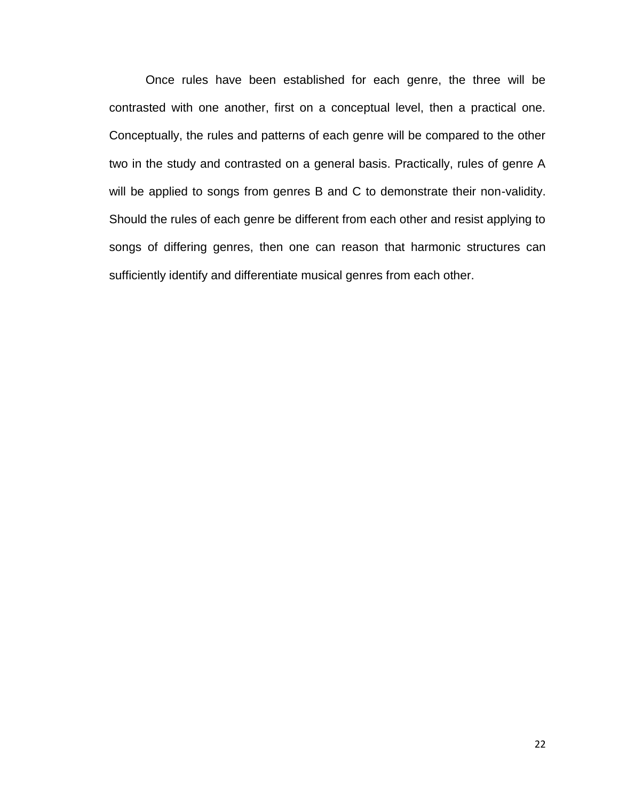Once rules have been established for each genre, the three will be contrasted with one another, first on a conceptual level, then a practical one. Conceptually, the rules and patterns of each genre will be compared to the other two in the study and contrasted on a general basis. Practically, rules of genre A will be applied to songs from genres B and C to demonstrate their non-validity. Should the rules of each genre be different from each other and resist applying to songs of differing genres, then one can reason that harmonic structures can sufficiently identify and differentiate musical genres from each other.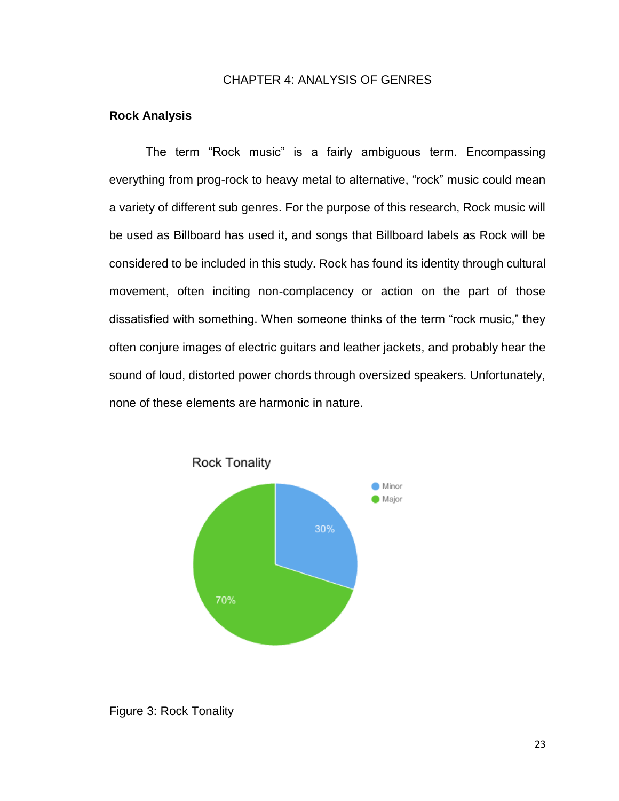## CHAPTER 4: ANALYSIS OF GENRES

#### **Rock Analysis**

The term "Rock music" is a fairly ambiguous term. Encompassing everything from prog-rock to heavy metal to alternative, "rock" music could mean a variety of different sub genres. For the purpose of this research, Rock music will be used as Billboard has used it, and songs that Billboard labels as Rock will be considered to be included in this study. Rock has found its identity through cultural movement, often inciting non-complacency or action on the part of those dissatisfied with something. When someone thinks of the term "rock music," they often conjure images of electric guitars and leather jackets, and probably hear the sound of loud, distorted power chords through oversized speakers. Unfortunately, none of these elements are harmonic in nature.



## Figure 3: Rock Tonality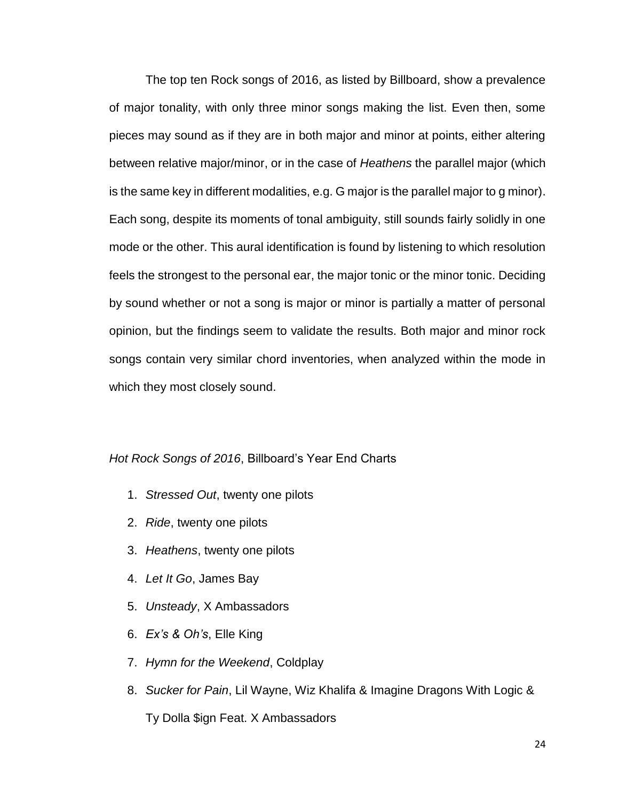The top ten Rock songs of 2016, as listed by Billboard, show a prevalence of major tonality, with only three minor songs making the list. Even then, some pieces may sound as if they are in both major and minor at points, either altering between relative major/minor, or in the case of *Heathens* the parallel major (which is the same key in different modalities, e.g. G major is the parallel major to g minor). Each song, despite its moments of tonal ambiguity, still sounds fairly solidly in one mode or the other. This aural identification is found by listening to which resolution feels the strongest to the personal ear, the major tonic or the minor tonic. Deciding by sound whether or not a song is major or minor is partially a matter of personal opinion, but the findings seem to validate the results. Both major and minor rock songs contain very similar chord inventories, when analyzed within the mode in which they most closely sound.

#### *Hot Rock Songs of 2016*, Billboard's Year End Charts

- 1. *Stressed Out*, twenty one pilots
- 2. *Ride*, twenty one pilots
- 3. *Heathens*, twenty one pilots
- 4. *Let It Go*, James Bay
- 5. *Unsteady*, X Ambassadors
- 6. *Ex's & Oh's*, Elle King
- 7. *Hymn for the Weekend*, Coldplay
- 8. *Sucker for Pain*, Lil Wayne, Wiz Khalifa & Imagine Dragons With Logic &

Ty Dolla \$ign Feat. X Ambassadors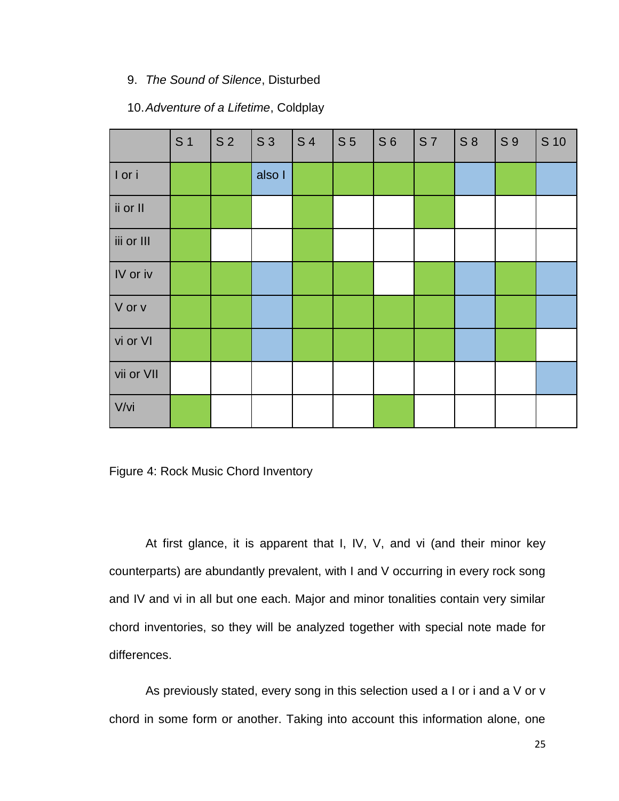## 9. *The Sound of Silence*, Disturbed

## 10.*Adventure of a Lifetime*, Coldplay

|            | S <sub>1</sub> | S <sub>2</sub> | S <sub>3</sub> | <b>S4</b> | S <sub>5</sub> | S <sub>6</sub> | <b>S7</b> | S 8 | S 9 | S 10 |
|------------|----------------|----------------|----------------|-----------|----------------|----------------|-----------|-----|-----|------|
| I or i     |                |                | also I         |           |                |                |           |     |     |      |
| ii or II   |                |                |                |           |                |                |           |     |     |      |
| iii or III |                |                |                |           |                |                |           |     |     |      |
| IV or iv   |                |                |                |           |                |                |           |     |     |      |
| V or v     |                |                |                |           |                |                |           |     |     |      |
| vi or VI   |                |                |                |           |                |                |           |     |     |      |
| vii or VII |                |                |                |           |                |                |           |     |     |      |
| V/vi       |                |                |                |           |                |                |           |     |     |      |

Figure 4: Rock Music Chord Inventory

At first glance, it is apparent that I, IV, V, and vi (and their minor key counterparts) are abundantly prevalent, with I and V occurring in every rock song and IV and vi in all but one each. Major and minor tonalities contain very similar chord inventories, so they will be analyzed together with special note made for differences.

As previously stated, every song in this selection used a I or i and a V or v chord in some form or another. Taking into account this information alone, one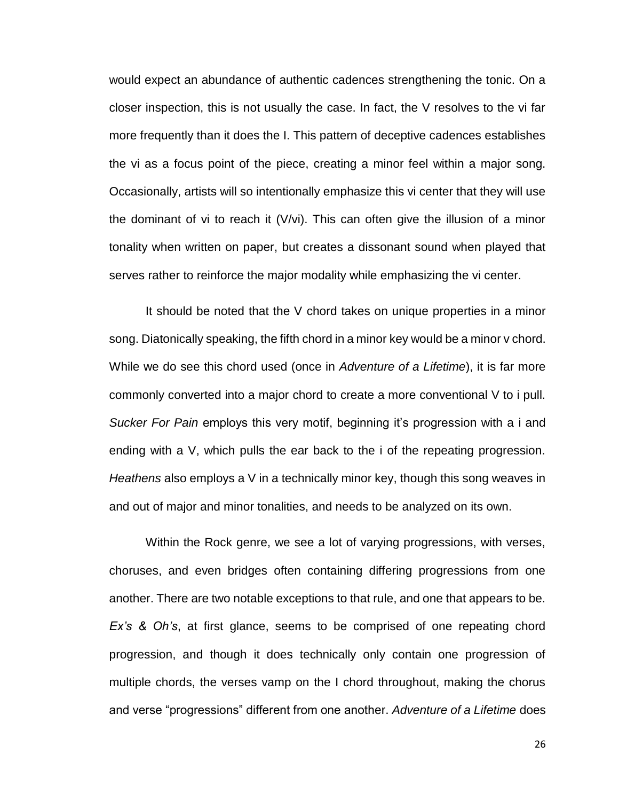would expect an abundance of authentic cadences strengthening the tonic. On a closer inspection, this is not usually the case. In fact, the V resolves to the vi far more frequently than it does the I. This pattern of deceptive cadences establishes the vi as a focus point of the piece, creating a minor feel within a major song. Occasionally, artists will so intentionally emphasize this vi center that they will use the dominant of vi to reach it (V/vi). This can often give the illusion of a minor tonality when written on paper, but creates a dissonant sound when played that serves rather to reinforce the major modality while emphasizing the vi center.

It should be noted that the V chord takes on unique properties in a minor song. Diatonically speaking, the fifth chord in a minor key would be a minor v chord. While we do see this chord used (once in *Adventure of a Lifetime*), it is far more commonly converted into a major chord to create a more conventional V to i pull. *Sucker For Pain* employs this very motif, beginning it's progression with a i and ending with a V, which pulls the ear back to the i of the repeating progression. *Heathens* also employs a V in a technically minor key, though this song weaves in and out of major and minor tonalities, and needs to be analyzed on its own.

Within the Rock genre, we see a lot of varying progressions, with verses, choruses, and even bridges often containing differing progressions from one another. There are two notable exceptions to that rule, and one that appears to be. *Ex's & Oh's*, at first glance, seems to be comprised of one repeating chord progression, and though it does technically only contain one progression of multiple chords, the verses vamp on the I chord throughout, making the chorus and verse "progressions" different from one another. *Adventure of a Lifetime* does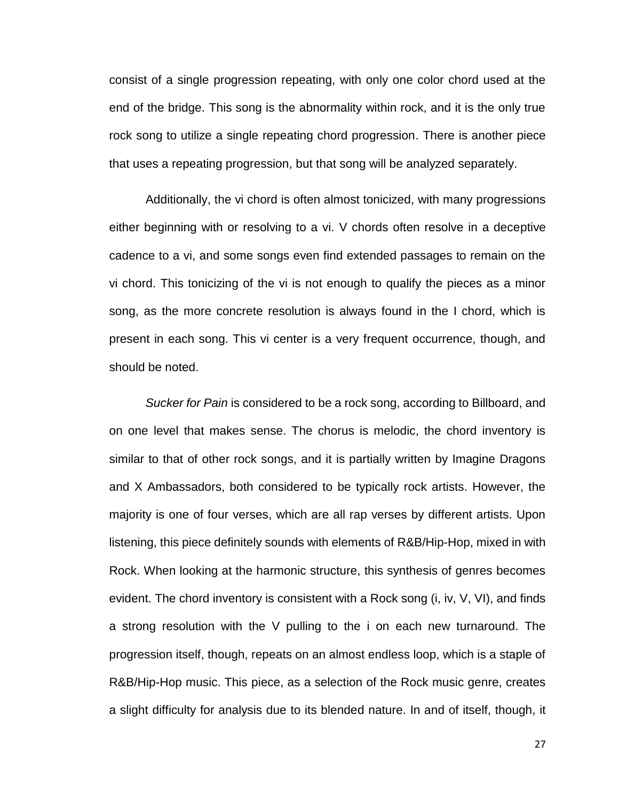consist of a single progression repeating, with only one color chord used at the end of the bridge. This song is the abnormality within rock, and it is the only true rock song to utilize a single repeating chord progression. There is another piece that uses a repeating progression, but that song will be analyzed separately.

Additionally, the vi chord is often almost tonicized, with many progressions either beginning with or resolving to a vi. V chords often resolve in a deceptive cadence to a vi, and some songs even find extended passages to remain on the vi chord. This tonicizing of the vi is not enough to qualify the pieces as a minor song, as the more concrete resolution is always found in the I chord, which is present in each song. This vi center is a very frequent occurrence, though, and should be noted.

*Sucker for Pain* is considered to be a rock song, according to Billboard, and on one level that makes sense. The chorus is melodic, the chord inventory is similar to that of other rock songs, and it is partially written by Imagine Dragons and X Ambassadors, both considered to be typically rock artists. However, the majority is one of four verses, which are all rap verses by different artists. Upon listening, this piece definitely sounds with elements of R&B/Hip-Hop, mixed in with Rock. When looking at the harmonic structure, this synthesis of genres becomes evident. The chord inventory is consistent with a Rock song (i, iv, V, VI), and finds a strong resolution with the V pulling to the i on each new turnaround. The progression itself, though, repeats on an almost endless loop, which is a staple of R&B/Hip-Hop music. This piece, as a selection of the Rock music genre, creates a slight difficulty for analysis due to its blended nature. In and of itself, though, it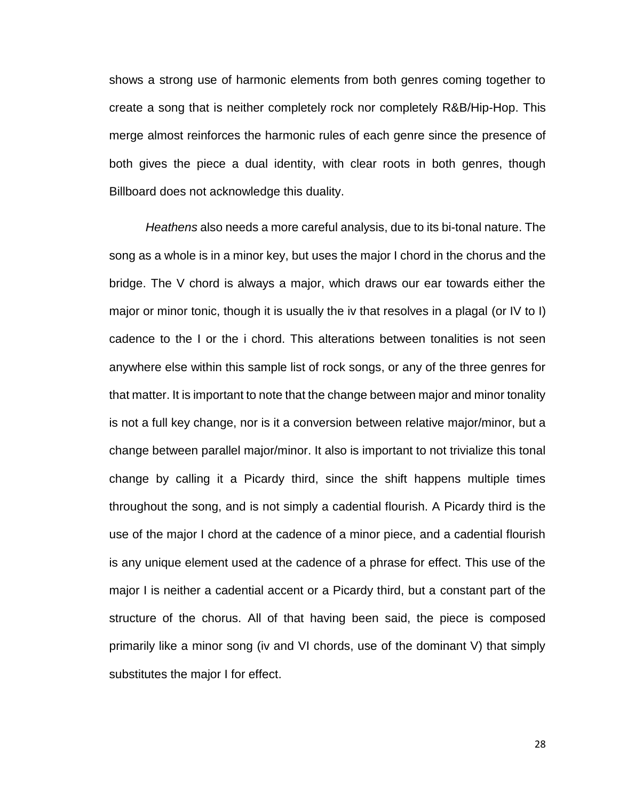shows a strong use of harmonic elements from both genres coming together to create a song that is neither completely rock nor completely R&B/Hip-Hop. This merge almost reinforces the harmonic rules of each genre since the presence of both gives the piece a dual identity, with clear roots in both genres, though Billboard does not acknowledge this duality.

*Heathens* also needs a more careful analysis, due to its bi-tonal nature. The song as a whole is in a minor key, but uses the major I chord in the chorus and the bridge. The V chord is always a major, which draws our ear towards either the major or minor tonic, though it is usually the iv that resolves in a plagal (or IV to I) cadence to the I or the i chord. This alterations between tonalities is not seen anywhere else within this sample list of rock songs, or any of the three genres for that matter. It is important to note that the change between major and minor tonality is not a full key change, nor is it a conversion between relative major/minor, but a change between parallel major/minor. It also is important to not trivialize this tonal change by calling it a Picardy third, since the shift happens multiple times throughout the song, and is not simply a cadential flourish. A Picardy third is the use of the major I chord at the cadence of a minor piece, and a cadential flourish is any unique element used at the cadence of a phrase for effect. This use of the major I is neither a cadential accent or a Picardy third, but a constant part of the structure of the chorus. All of that having been said, the piece is composed primarily like a minor song (iv and VI chords, use of the dominant V) that simply substitutes the major I for effect.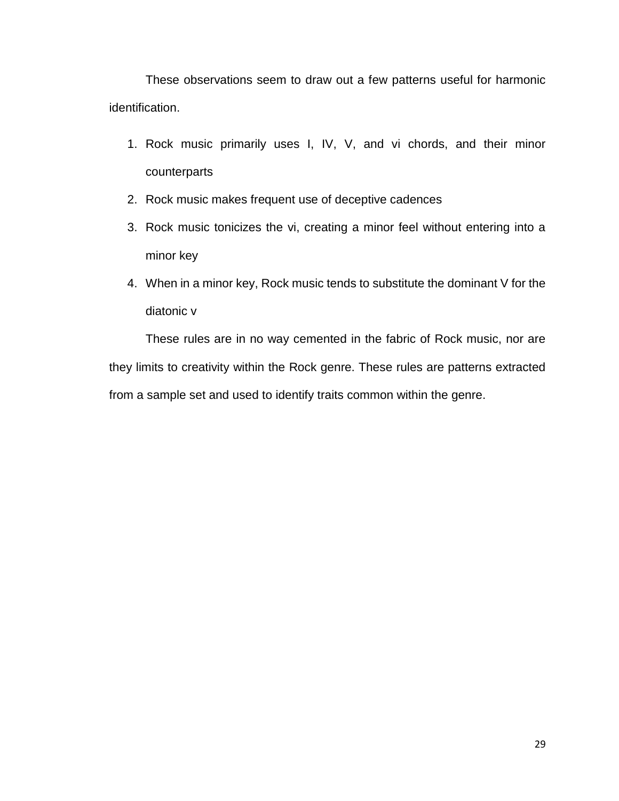These observations seem to draw out a few patterns useful for harmonic identification.

- 1. Rock music primarily uses I, IV, V, and vi chords, and their minor counterparts
- 2. Rock music makes frequent use of deceptive cadences
- 3. Rock music tonicizes the vi, creating a minor feel without entering into a minor key
- 4. When in a minor key, Rock music tends to substitute the dominant V for the diatonic v

These rules are in no way cemented in the fabric of Rock music, nor are they limits to creativity within the Rock genre. These rules are patterns extracted from a sample set and used to identify traits common within the genre.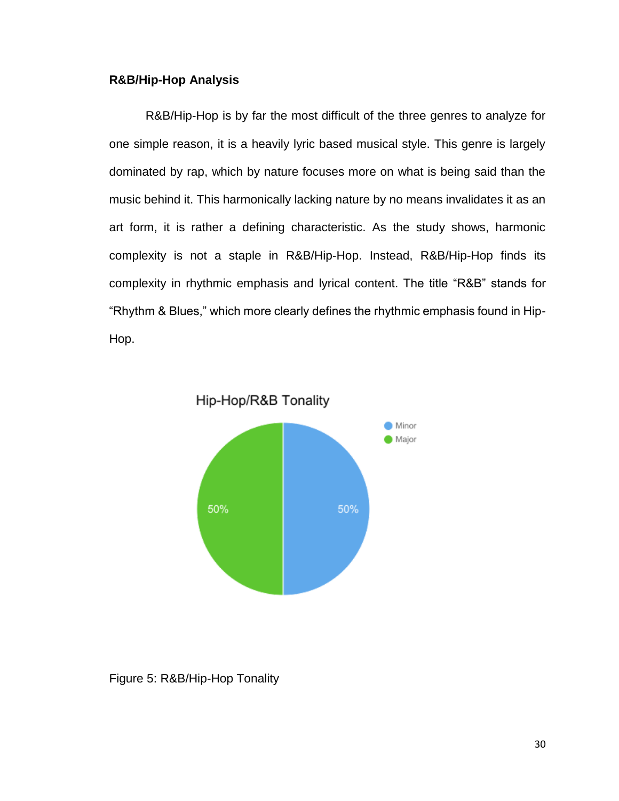# **R&B/Hip-Hop Analysis**

R&B/Hip-Hop is by far the most difficult of the three genres to analyze for one simple reason, it is a heavily lyric based musical style. This genre is largely dominated by rap, which by nature focuses more on what is being said than the music behind it. This harmonically lacking nature by no means invalidates it as an art form, it is rather a defining characteristic. As the study shows, harmonic complexity is not a staple in R&B/Hip-Hop. Instead, R&B/Hip-Hop finds its complexity in rhythmic emphasis and lyrical content. The title "R&B" stands for "Rhythm & Blues," which more clearly defines the rhythmic emphasis found in Hip-Hop.



Figure 5: R&B/Hip-Hop Tonality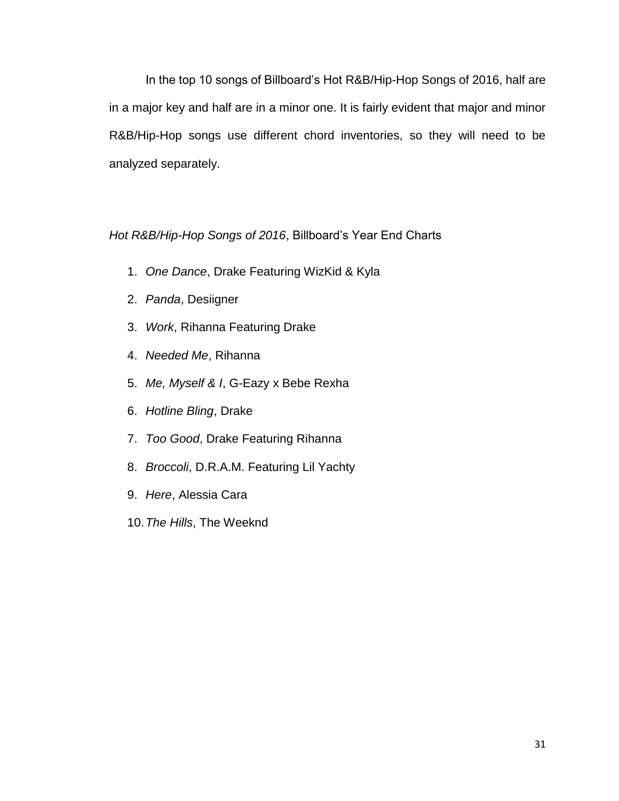In the top 10 songs of Billboard's Hot R&B/Hip-Hop Songs of 2016, half are in a major key and half are in a minor one. It is fairly evident that major and minor R&B/Hip-Hop songs use different chord inventories, so they will need to be analyzed separately.

*Hot R&B/Hip-Hop Songs of 2016*, Billboard's Year End Charts

- 1. *One Dance*, Drake Featuring WizKid & Kyla
- 2. *Panda*, Desiigner
- 3. *Work*, Rihanna Featuring Drake
- 4. *Needed Me*, Rihanna
- 5. *Me, Myself & I*, G-Eazy x Bebe Rexha
- 6. *Hotline Bling*, Drake
- 7. *Too Good*, Drake Featuring Rihanna
- 8. *Broccoli*, D.R.A.M. Featuring Lil Yachty
- 9. *Here*, Alessia Cara
- 10.*The Hills*, The Weeknd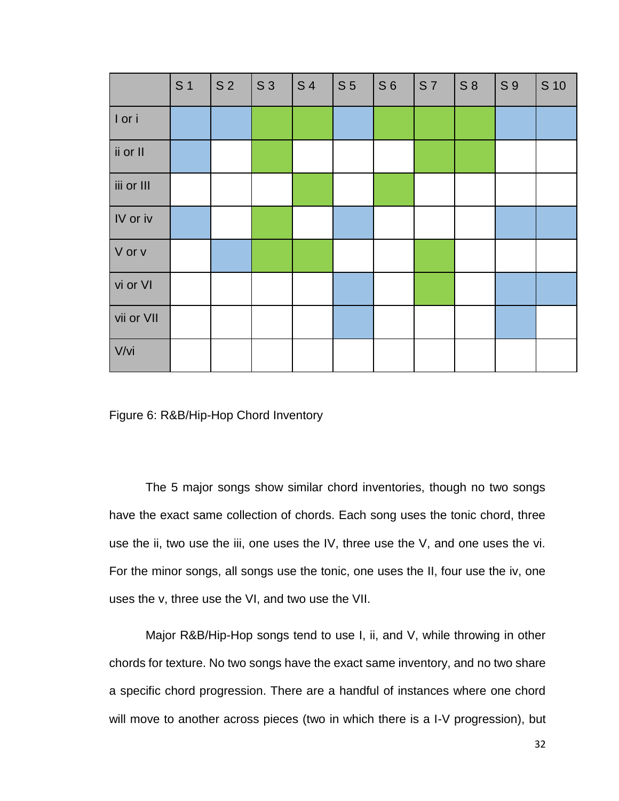|            | S <sub>1</sub> | S <sub>2</sub> | S 3 | <b>S4</b> | S <sub>5</sub> | S <sub>6</sub> | <b>S7</b> | $S_8$ | S <sub>9</sub> | S 10 |
|------------|----------------|----------------|-----|-----------|----------------|----------------|-----------|-------|----------------|------|
| I or i     |                |                |     |           |                |                |           |       |                |      |
| ii or II   |                |                |     |           |                |                |           |       |                |      |
| iii or III |                |                |     |           |                |                |           |       |                |      |
| IV or iv   |                |                |     |           |                |                |           |       |                |      |
| V or v     |                |                |     |           |                |                |           |       |                |      |
| vi or VI   |                |                |     |           |                |                |           |       |                |      |
| vii or VII |                |                |     |           |                |                |           |       |                |      |
| V/vi       |                |                |     |           |                |                |           |       |                |      |

Figure 6: R&B/Hip-Hop Chord Inventory

The 5 major songs show similar chord inventories, though no two songs have the exact same collection of chords. Each song uses the tonic chord, three use the ii, two use the iii, one uses the IV, three use the V, and one uses the vi. For the minor songs, all songs use the tonic, one uses the II, four use the iv, one uses the v, three use the VI, and two use the VII.

Major R&B/Hip-Hop songs tend to use I, ii, and V, while throwing in other chords for texture. No two songs have the exact same inventory, and no two share a specific chord progression. There are a handful of instances where one chord will move to another across pieces (two in which there is a I-V progression), but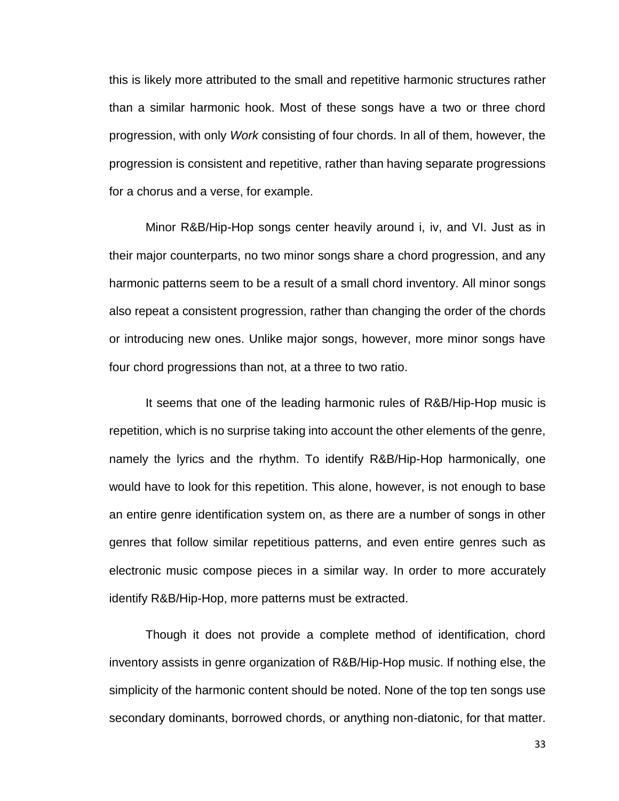this is likely more attributed to the small and repetitive harmonic structures rather than a similar harmonic hook. Most of these songs have a two or three chord progression, with only *Work* consisting of four chords. In all of them, however, the progression is consistent and repetitive, rather than having separate progressions for a chorus and a verse, for example.

Minor R&B/Hip-Hop songs center heavily around i, iv, and VI. Just as in their major counterparts, no two minor songs share a chord progression, and any harmonic patterns seem to be a result of a small chord inventory. All minor songs also repeat a consistent progression, rather than changing the order of the chords or introducing new ones. Unlike major songs, however, more minor songs have four chord progressions than not, at a three to two ratio.

It seems that one of the leading harmonic rules of R&B/Hip-Hop music is repetition, which is no surprise taking into account the other elements of the genre, namely the lyrics and the rhythm. To identify R&B/Hip-Hop harmonically, one would have to look for this repetition. This alone, however, is not enough to base an entire genre identification system on, as there are a number of songs in other genres that follow similar repetitious patterns, and even entire genres such as electronic music compose pieces in a similar way. In order to more accurately identify R&B/Hip-Hop, more patterns must be extracted.

Though it does not provide a complete method of identification, chord inventory assists in genre organization of R&B/Hip-Hop music. If nothing else, the simplicity of the harmonic content should be noted. None of the top ten songs use secondary dominants, borrowed chords, or anything non-diatonic, for that matter.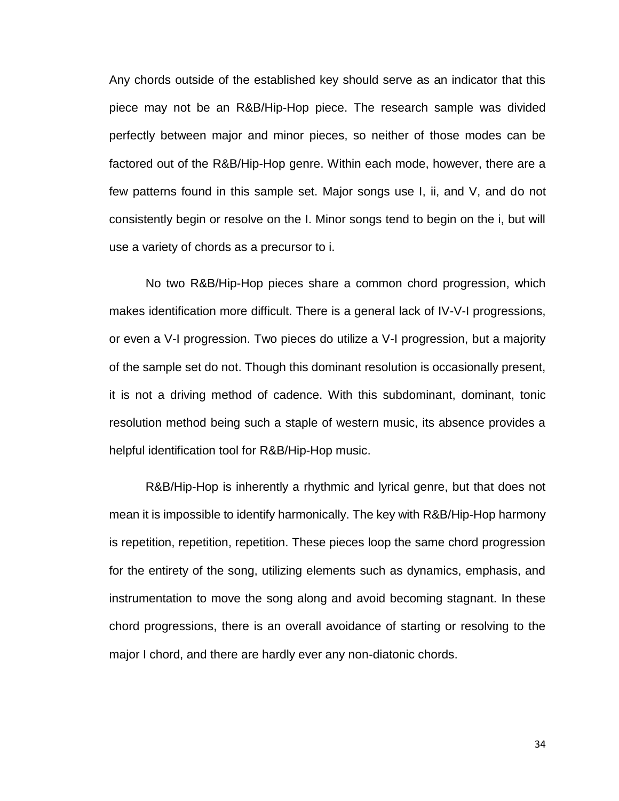Any chords outside of the established key should serve as an indicator that this piece may not be an R&B/Hip-Hop piece. The research sample was divided perfectly between major and minor pieces, so neither of those modes can be factored out of the R&B/Hip-Hop genre. Within each mode, however, there are a few patterns found in this sample set. Major songs use I, ii, and V, and do not consistently begin or resolve on the I. Minor songs tend to begin on the i, but will use a variety of chords as a precursor to i.

No two R&B/Hip-Hop pieces share a common chord progression, which makes identification more difficult. There is a general lack of IV-V-I progressions, or even a V-I progression. Two pieces do utilize a V-I progression, but a majority of the sample set do not. Though this dominant resolution is occasionally present, it is not a driving method of cadence. With this subdominant, dominant, tonic resolution method being such a staple of western music, its absence provides a helpful identification tool for R&B/Hip-Hop music.

R&B/Hip-Hop is inherently a rhythmic and lyrical genre, but that does not mean it is impossible to identify harmonically. The key with R&B/Hip-Hop harmony is repetition, repetition, repetition. These pieces loop the same chord progression for the entirety of the song, utilizing elements such as dynamics, emphasis, and instrumentation to move the song along and avoid becoming stagnant. In these chord progressions, there is an overall avoidance of starting or resolving to the major I chord, and there are hardly ever any non-diatonic chords.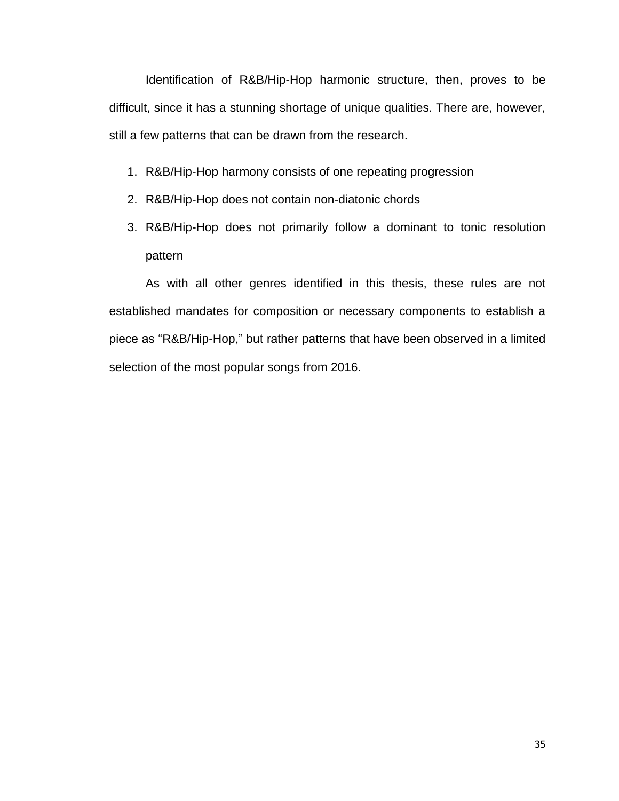Identification of R&B/Hip-Hop harmonic structure, then, proves to be difficult, since it has a stunning shortage of unique qualities. There are, however, still a few patterns that can be drawn from the research.

- 1. R&B/Hip-Hop harmony consists of one repeating progression
- 2. R&B/Hip-Hop does not contain non-diatonic chords
- 3. R&B/Hip-Hop does not primarily follow a dominant to tonic resolution pattern

As with all other genres identified in this thesis, these rules are not established mandates for composition or necessary components to establish a piece as "R&B/Hip-Hop," but rather patterns that have been observed in a limited selection of the most popular songs from 2016.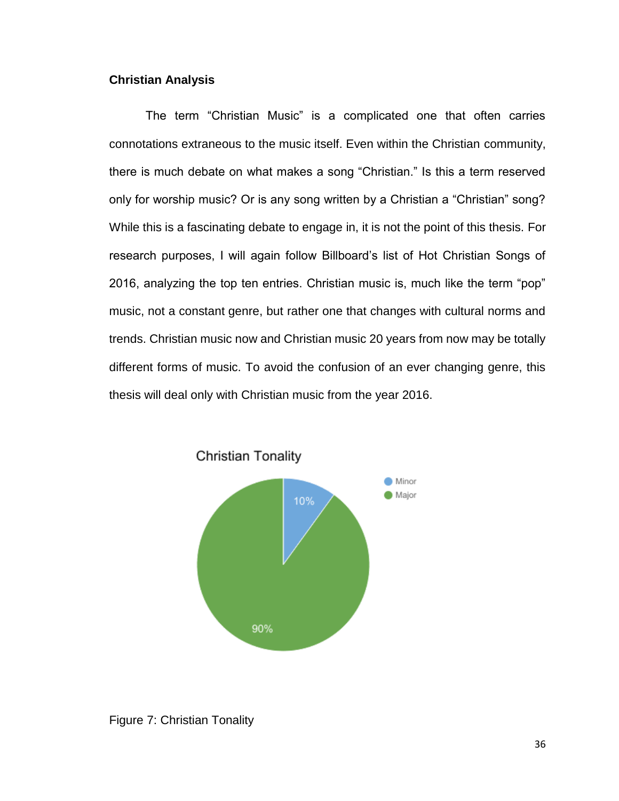# **Christian Analysis**

The term "Christian Music" is a complicated one that often carries connotations extraneous to the music itself. Even within the Christian community, there is much debate on what makes a song "Christian." Is this a term reserved only for worship music? Or is any song written by a Christian a "Christian" song? While this is a fascinating debate to engage in, it is not the point of this thesis. For research purposes, I will again follow Billboard's list of Hot Christian Songs of 2016, analyzing the top ten entries. Christian music is, much like the term "pop" music, not a constant genre, but rather one that changes with cultural norms and trends. Christian music now and Christian music 20 years from now may be totally different forms of music. To avoid the confusion of an ever changing genre, this thesis will deal only with Christian music from the year 2016.





Figure 7: Christian Tonality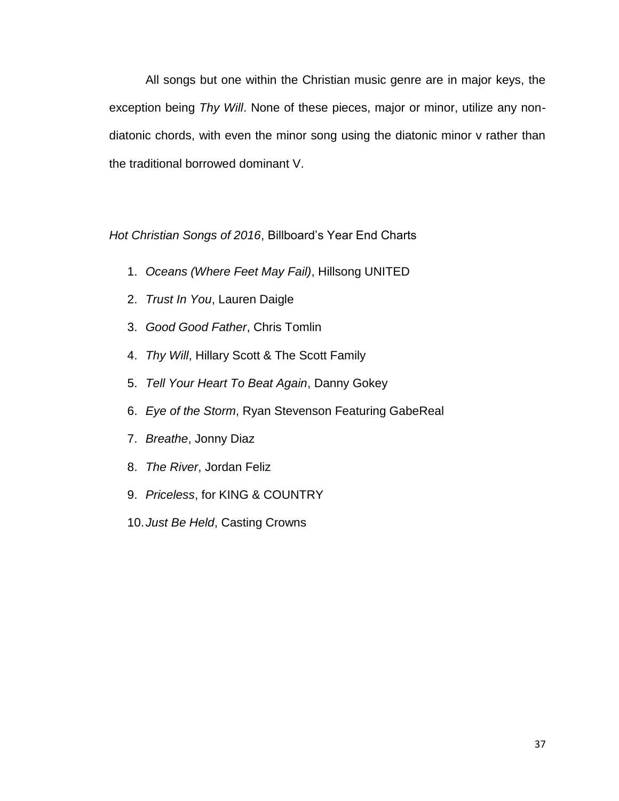All songs but one within the Christian music genre are in major keys, the exception being *Thy Will*. None of these pieces, major or minor, utilize any nondiatonic chords, with even the minor song using the diatonic minor v rather than the traditional borrowed dominant V.

*Hot Christian Songs of 2016*, Billboard's Year End Charts

- 1. *Oceans (Where Feet May Fail)*, Hillsong UNITED
- 2. *Trust In You*, Lauren Daigle
- 3. *Good Good Father*, Chris Tomlin
- 4. *Thy Will*, Hillary Scott & The Scott Family
- 5. *Tell Your Heart To Beat Again*, Danny Gokey
- 6. *Eye of the Storm*, Ryan Stevenson Featuring GabeReal
- 7. *Breathe*, Jonny Diaz
- 8. *The River*, Jordan Feliz
- 9. *Priceless*, for KING & COUNTRY
- 10.*Just Be Held*, Casting Crowns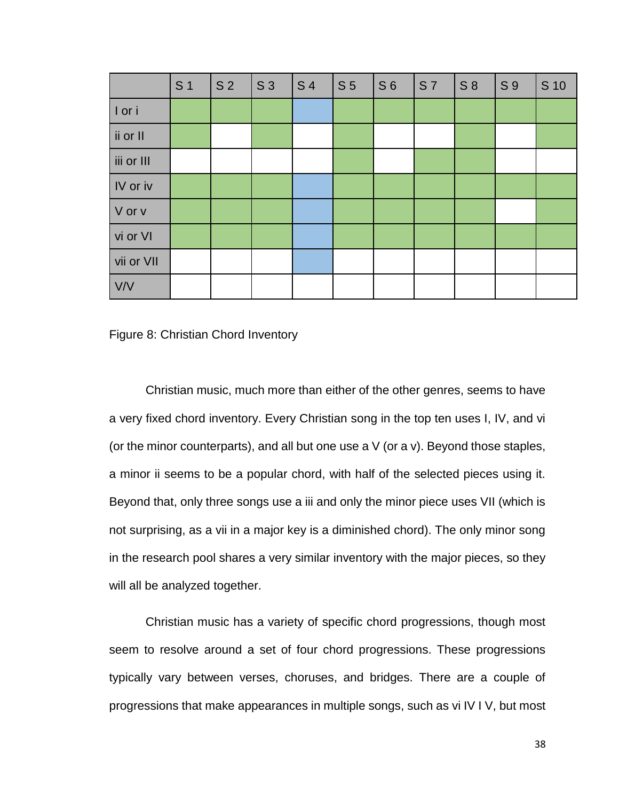|            | S <sub>1</sub> | S <sub>2</sub> | S <sub>3</sub> | S <sub>4</sub> | S <sub>5</sub> | S <sub>6</sub> | <b>S7</b> | $S_8$ | S 9 | S 10 |
|------------|----------------|----------------|----------------|----------------|----------------|----------------|-----------|-------|-----|------|
| I or i     |                |                |                |                |                |                |           |       |     |      |
| ii or II   |                |                |                |                |                |                |           |       |     |      |
| iii or III |                |                |                |                |                |                |           |       |     |      |
| IV or iv   |                |                |                |                |                |                |           |       |     |      |
| V or v     |                |                |                |                |                |                |           |       |     |      |
| vi or VI   |                |                |                |                |                |                |           |       |     |      |
| vii or VII |                |                |                |                |                |                |           |       |     |      |
| V/V        |                |                |                |                |                |                |           |       |     |      |

Figure 8: Christian Chord Inventory

Christian music, much more than either of the other genres, seems to have a very fixed chord inventory. Every Christian song in the top ten uses I, IV, and vi (or the minor counterparts), and all but one use a V (or a v). Beyond those staples, a minor ii seems to be a popular chord, with half of the selected pieces using it. Beyond that, only three songs use a iii and only the minor piece uses VII (which is not surprising, as a vii in a major key is a diminished chord). The only minor song in the research pool shares a very similar inventory with the major pieces, so they will all be analyzed together.

Christian music has a variety of specific chord progressions, though most seem to resolve around a set of four chord progressions. These progressions typically vary between verses, choruses, and bridges. There are a couple of progressions that make appearances in multiple songs, such as vi IV I V, but most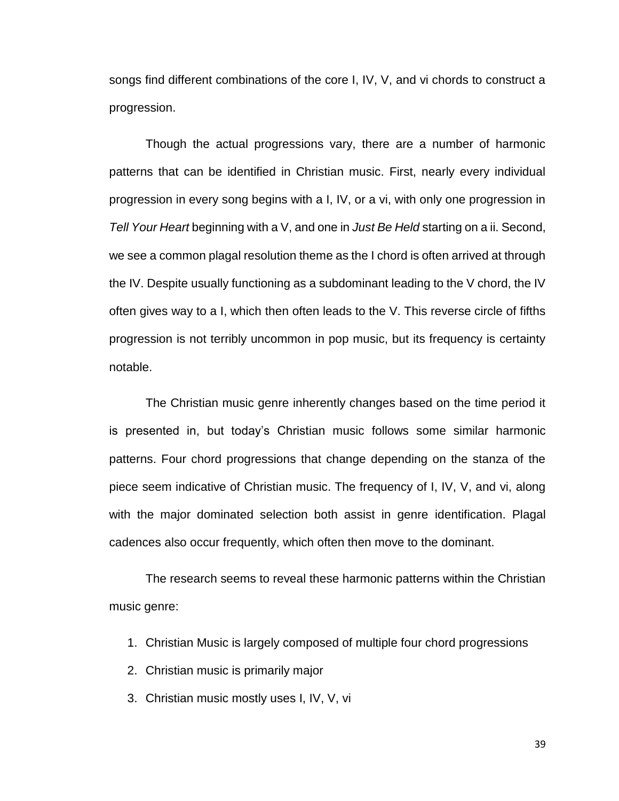songs find different combinations of the core I, IV, V, and vi chords to construct a progression.

Though the actual progressions vary, there are a number of harmonic patterns that can be identified in Christian music. First, nearly every individual progression in every song begins with a I, IV, or a vi, with only one progression in *Tell Your Heart* beginning with a V, and one in *Just Be Held* starting on a ii. Second, we see a common plagal resolution theme as the I chord is often arrived at through the IV. Despite usually functioning as a subdominant leading to the V chord, the IV often gives way to a I, which then often leads to the V. This reverse circle of fifths progression is not terribly uncommon in pop music, but its frequency is certainty notable.

The Christian music genre inherently changes based on the time period it is presented in, but today's Christian music follows some similar harmonic patterns. Four chord progressions that change depending on the stanza of the piece seem indicative of Christian music. The frequency of I, IV, V, and vi, along with the major dominated selection both assist in genre identification. Plagal cadences also occur frequently, which often then move to the dominant.

The research seems to reveal these harmonic patterns within the Christian music genre:

- 1. Christian Music is largely composed of multiple four chord progressions
- 2. Christian music is primarily major
- 3. Christian music mostly uses I, IV, V, vi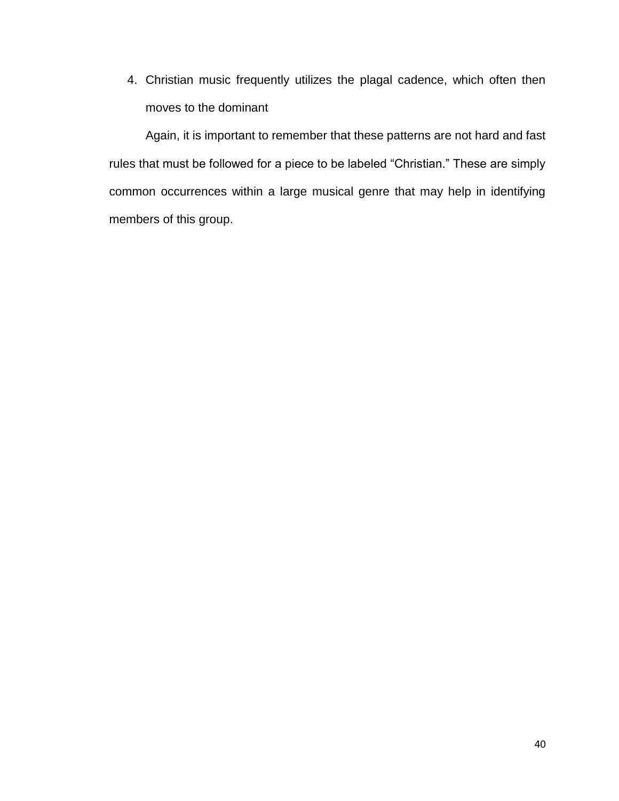4. Christian music frequently utilizes the plagal cadence, which often then moves to the dominant

Again, it is important to remember that these patterns are not hard and fast rules that must be followed for a piece to be labeled "Christian." These are simply common occurrences within a large musical genre that may help in identifying members of this group.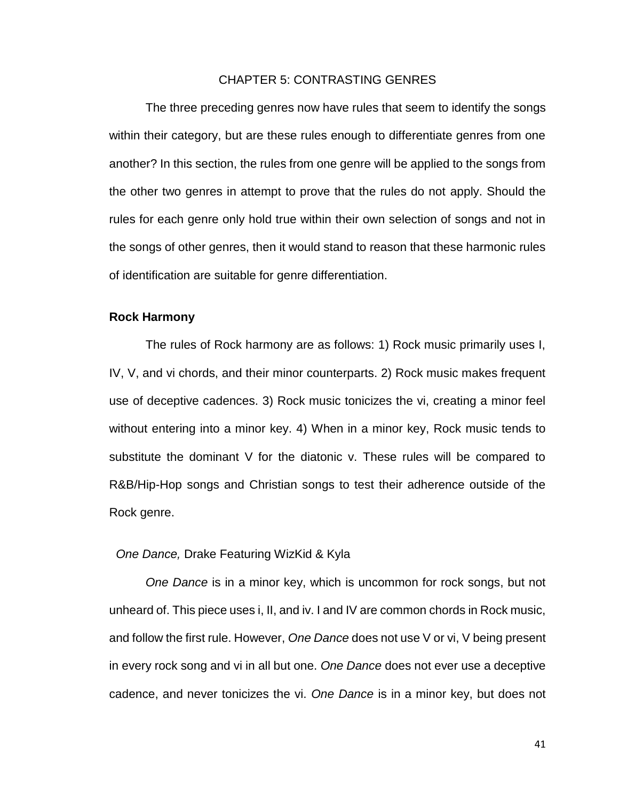# CHAPTER 5: CONTRASTING GENRES

The three preceding genres now have rules that seem to identify the songs within their category, but are these rules enough to differentiate genres from one another? In this section, the rules from one genre will be applied to the songs from the other two genres in attempt to prove that the rules do not apply. Should the rules for each genre only hold true within their own selection of songs and not in the songs of other genres, then it would stand to reason that these harmonic rules of identification are suitable for genre differentiation.

#### **Rock Harmony**

The rules of Rock harmony are as follows: 1) Rock music primarily uses I, IV, V, and vi chords, and their minor counterparts. 2) Rock music makes frequent use of deceptive cadences. 3) Rock music tonicizes the vi, creating a minor feel without entering into a minor key. 4) When in a minor key, Rock music tends to substitute the dominant V for the diatonic v. These rules will be compared to R&B/Hip-Hop songs and Christian songs to test their adherence outside of the Rock genre.

#### *One Dance,* Drake Featuring WizKid & Kyla

*One Dance* is in a minor key, which is uncommon for rock songs, but not unheard of. This piece uses i, II, and iv. I and IV are common chords in Rock music, and follow the first rule. However, *One Dance* does not use V or vi, V being present in every rock song and vi in all but one. *One Dance* does not ever use a deceptive cadence, and never tonicizes the vi. *One Dance* is in a minor key, but does not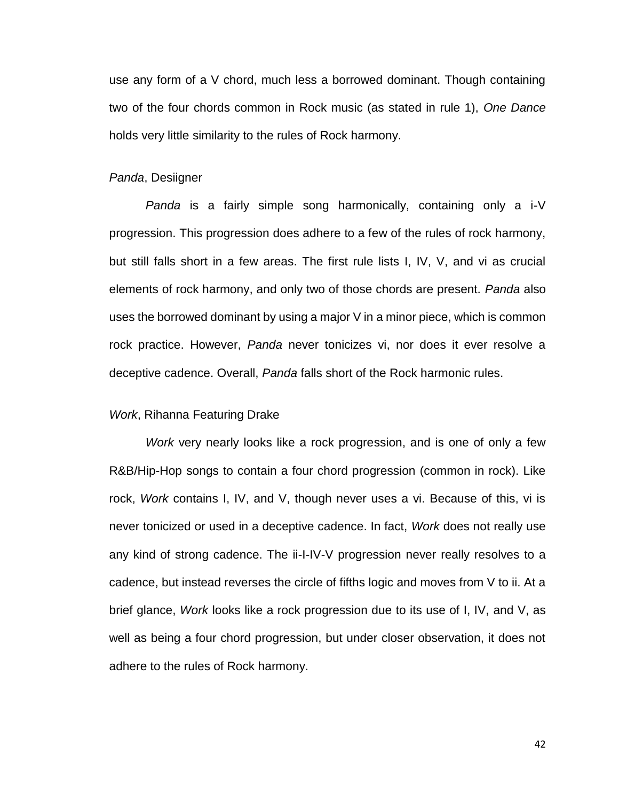use any form of a V chord, much less a borrowed dominant. Though containing two of the four chords common in Rock music (as stated in rule 1), *One Dance* holds very little similarity to the rules of Rock harmony.

#### *Panda*, Desiigner

*Panda* is a fairly simple song harmonically, containing only a i-V progression. This progression does adhere to a few of the rules of rock harmony, but still falls short in a few areas. The first rule lists I, IV, V, and vi as crucial elements of rock harmony, and only two of those chords are present. *Panda* also uses the borrowed dominant by using a major V in a minor piece, which is common rock practice. However, *Panda* never tonicizes vi, nor does it ever resolve a deceptive cadence. Overall, *Panda* falls short of the Rock harmonic rules.

#### *Work*, Rihanna Featuring Drake

*Work* very nearly looks like a rock progression, and is one of only a few R&B/Hip-Hop songs to contain a four chord progression (common in rock). Like rock, *Work* contains I, IV, and V, though never uses a vi. Because of this, vi is never tonicized or used in a deceptive cadence. In fact, *Work* does not really use any kind of strong cadence. The ii-I-IV-V progression never really resolves to a cadence, but instead reverses the circle of fifths logic and moves from V to ii. At a brief glance, *Work* looks like a rock progression due to its use of I, IV, and V, as well as being a four chord progression, but under closer observation, it does not adhere to the rules of Rock harmony.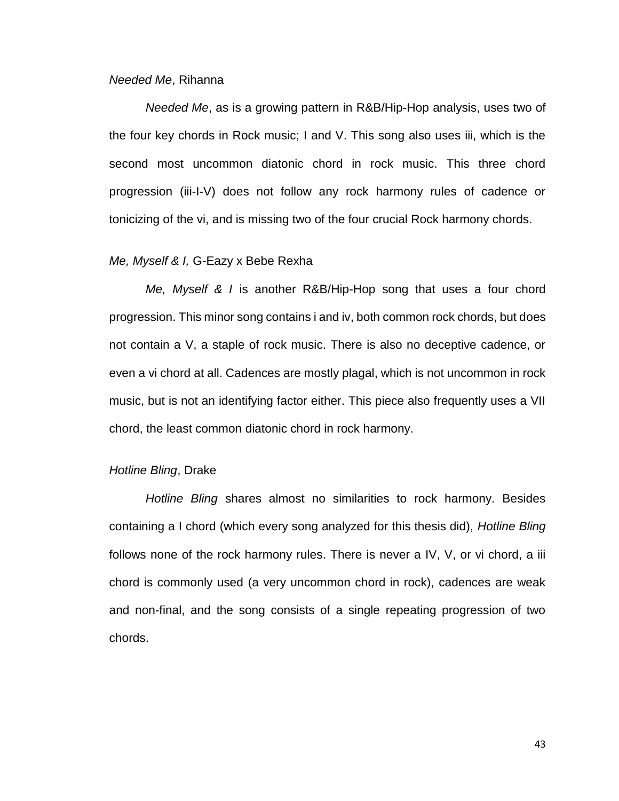#### *Needed Me*, Rihanna

*Needed Me*, as is a growing pattern in R&B/Hip-Hop analysis, uses two of the four key chords in Rock music; I and V. This song also uses iii, which is the second most uncommon diatonic chord in rock music. This three chord progression (iii-I-V) does not follow any rock harmony rules of cadence or tonicizing of the vi, and is missing two of the four crucial Rock harmony chords.

# *Me, Myself & I,* G-Eazy x Bebe Rexha

*Me, Myself & I* is another R&B/Hip-Hop song that uses a four chord progression. This minor song contains i and iv, both common rock chords, but does not contain a V, a staple of rock music. There is also no deceptive cadence, or even a vi chord at all. Cadences are mostly plagal, which is not uncommon in rock music, but is not an identifying factor either. This piece also frequently uses a VII chord, the least common diatonic chord in rock harmony.

#### *Hotline Bling*, Drake

*Hotline Bling* shares almost no similarities to rock harmony. Besides containing a I chord (which every song analyzed for this thesis did), *Hotline Bling* follows none of the rock harmony rules. There is never a IV, V, or vi chord, a iii chord is commonly used (a very uncommon chord in rock), cadences are weak and non-final, and the song consists of a single repeating progression of two chords.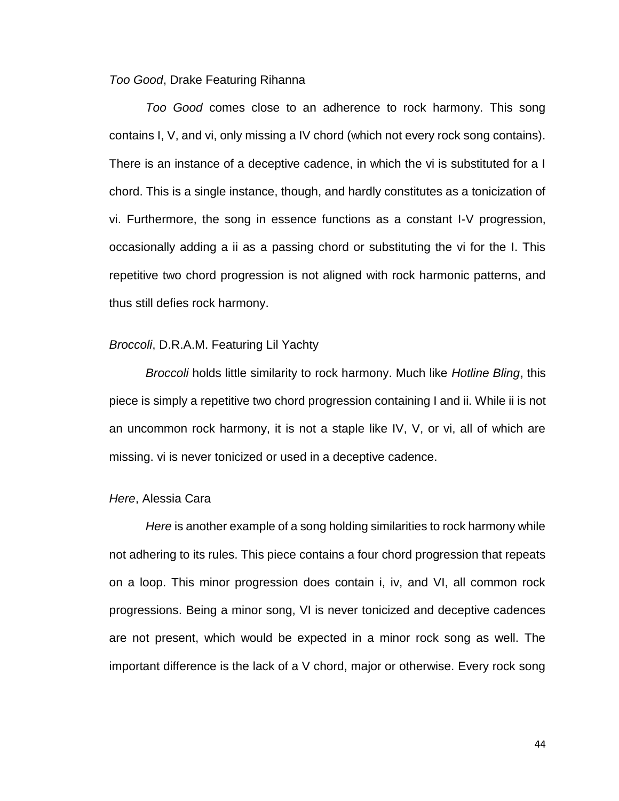# *Too Good*, Drake Featuring Rihanna

*Too Good* comes close to an adherence to rock harmony. This song contains I, V, and vi, only missing a IV chord (which not every rock song contains). There is an instance of a deceptive cadence, in which the vi is substituted for a I chord. This is a single instance, though, and hardly constitutes as a tonicization of vi. Furthermore, the song in essence functions as a constant I-V progression, occasionally adding a ii as a passing chord or substituting the vi for the I. This repetitive two chord progression is not aligned with rock harmonic patterns, and thus still defies rock harmony.

#### *Broccoli*, D.R.A.M. Featuring Lil Yachty

*Broccoli* holds little similarity to rock harmony. Much like *Hotline Bling*, this piece is simply a repetitive two chord progression containing I and ii. While ii is not an uncommon rock harmony, it is not a staple like IV, V, or vi, all of which are missing. vi is never tonicized or used in a deceptive cadence.

# *Here*, Alessia Cara

*Here* is another example of a song holding similarities to rock harmony while not adhering to its rules. This piece contains a four chord progression that repeats on a loop. This minor progression does contain i, iv, and VI, all common rock progressions. Being a minor song, VI is never tonicized and deceptive cadences are not present, which would be expected in a minor rock song as well. The important difference is the lack of a V chord, major or otherwise. Every rock song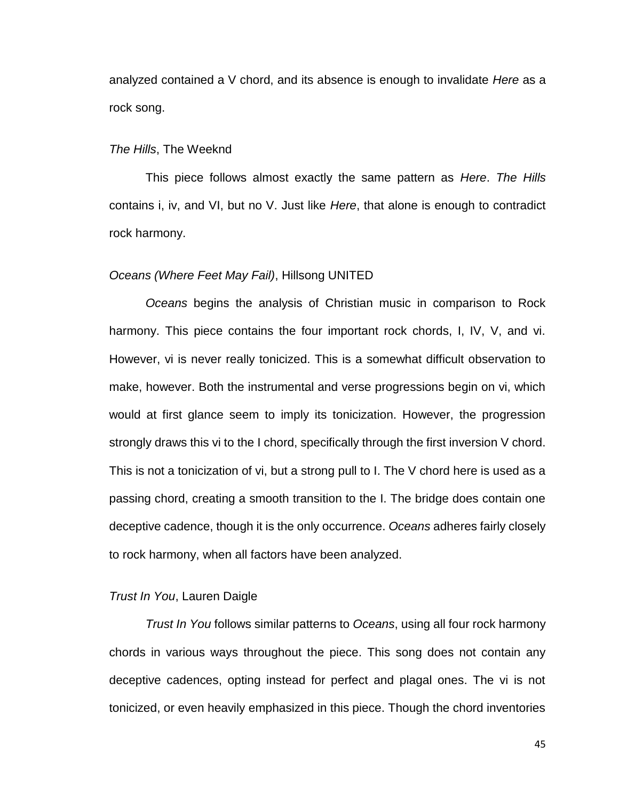analyzed contained a V chord, and its absence is enough to invalidate *Here* as a rock song.

# *The Hills*, The Weeknd

This piece follows almost exactly the same pattern as *Here*. *The Hills* contains i, iv, and VI, but no V. Just like *Here*, that alone is enough to contradict rock harmony.

#### *Oceans (Where Feet May Fail)*, Hillsong UNITED

*Oceans* begins the analysis of Christian music in comparison to Rock harmony. This piece contains the four important rock chords, I, IV, V, and vi. However, vi is never really tonicized. This is a somewhat difficult observation to make, however. Both the instrumental and verse progressions begin on vi, which would at first glance seem to imply its tonicization. However, the progression strongly draws this vi to the I chord, specifically through the first inversion V chord. This is not a tonicization of vi, but a strong pull to I. The V chord here is used as a passing chord, creating a smooth transition to the I. The bridge does contain one deceptive cadence, though it is the only occurrence. *Oceans* adheres fairly closely to rock harmony, when all factors have been analyzed.

# *Trust In You*, Lauren Daigle

*Trust In You* follows similar patterns to *Oceans*, using all four rock harmony chords in various ways throughout the piece. This song does not contain any deceptive cadences, opting instead for perfect and plagal ones. The vi is not tonicized, or even heavily emphasized in this piece. Though the chord inventories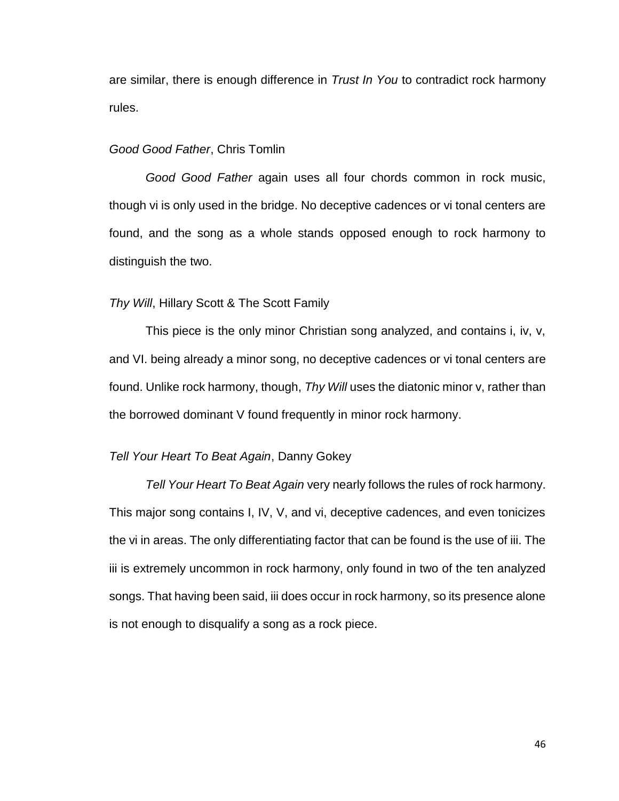are similar, there is enough difference in *Trust In You* to contradict rock harmony rules.

# *Good Good Father*, Chris Tomlin

*Good Good Father* again uses all four chords common in rock music, though vi is only used in the bridge. No deceptive cadences or vi tonal centers are found, and the song as a whole stands opposed enough to rock harmony to distinguish the two.

# *Thy Will*, Hillary Scott & The Scott Family

This piece is the only minor Christian song analyzed, and contains i, iv, v, and VI. being already a minor song, no deceptive cadences or vi tonal centers are found. Unlike rock harmony, though, *Thy Will* uses the diatonic minor v, rather than the borrowed dominant V found frequently in minor rock harmony.

# *Tell Your Heart To Beat Again*, Danny Gokey

*Tell Your Heart To Beat Again* very nearly follows the rules of rock harmony. This major song contains I, IV, V, and vi, deceptive cadences, and even tonicizes the vi in areas. The only differentiating factor that can be found is the use of iii. The iii is extremely uncommon in rock harmony, only found in two of the ten analyzed songs. That having been said, iii does occur in rock harmony, so its presence alone is not enough to disqualify a song as a rock piece.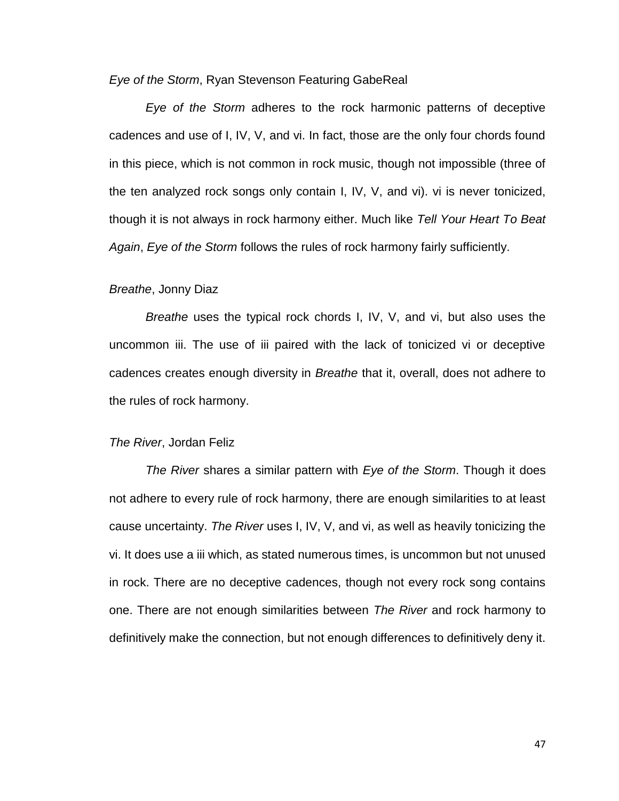*Eye of the Storm*, Ryan Stevenson Featuring GabeReal

*Eye of the Storm* adheres to the rock harmonic patterns of deceptive cadences and use of I, IV, V, and vi. In fact, those are the only four chords found in this piece, which is not common in rock music, though not impossible (three of the ten analyzed rock songs only contain I, IV, V, and vi). vi is never tonicized, though it is not always in rock harmony either. Much like *Tell Your Heart To Beat Again*, *Eye of the Storm* follows the rules of rock harmony fairly sufficiently.

# *Breathe*, Jonny Diaz

*Breathe* uses the typical rock chords I, IV, V, and vi, but also uses the uncommon iii. The use of iii paired with the lack of tonicized vi or deceptive cadences creates enough diversity in *Breathe* that it, overall, does not adhere to the rules of rock harmony.

#### *The River*, Jordan Feliz

*The River* shares a similar pattern with *Eye of the Storm*. Though it does not adhere to every rule of rock harmony, there are enough similarities to at least cause uncertainty. *The River* uses I, IV, V, and vi, as well as heavily tonicizing the vi. It does use a iii which, as stated numerous times, is uncommon but not unused in rock. There are no deceptive cadences, though not every rock song contains one. There are not enough similarities between *The River* and rock harmony to definitively make the connection, but not enough differences to definitively deny it.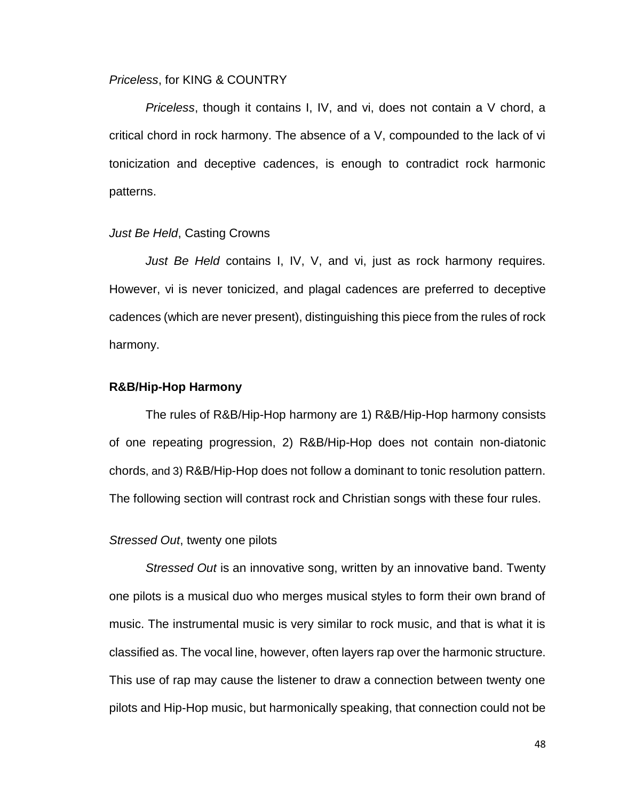#### *Priceless*, for KING & COUNTRY

*Priceless*, though it contains I, IV, and vi, does not contain a V chord, a critical chord in rock harmony. The absence of a V, compounded to the lack of vi tonicization and deceptive cadences, is enough to contradict rock harmonic patterns.

# *Just Be Held*, Casting Crowns

*Just Be Held* contains I, IV, V, and vi, just as rock harmony requires. However, vi is never tonicized, and plagal cadences are preferred to deceptive cadences (which are never present), distinguishing this piece from the rules of rock harmony.

# **R&B/Hip-Hop Harmony**

The rules of R&B/Hip-Hop harmony are 1) R&B/Hip-Hop harmony consists of one repeating progression, 2) R&B/Hip-Hop does not contain non-diatonic chords, and 3) R&B/Hip-Hop does not follow a dominant to tonic resolution pattern. The following section will contrast rock and Christian songs with these four rules.

# *Stressed Out*, twenty one pilots

*Stressed Out* is an innovative song, written by an innovative band. Twenty one pilots is a musical duo who merges musical styles to form their own brand of music. The instrumental music is very similar to rock music, and that is what it is classified as. The vocal line, however, often layers rap over the harmonic structure. This use of rap may cause the listener to draw a connection between twenty one pilots and Hip-Hop music, but harmonically speaking, that connection could not be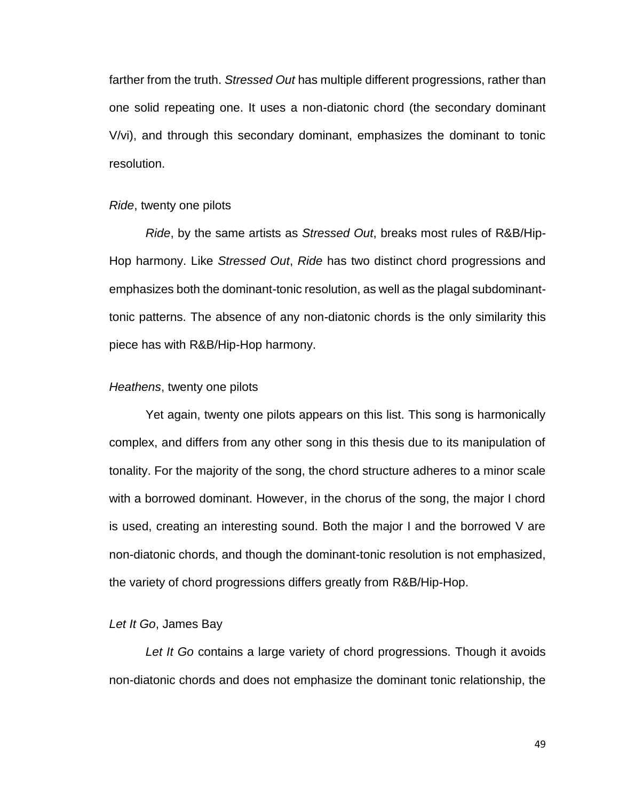farther from the truth. *Stressed Out* has multiple different progressions, rather than one solid repeating one. It uses a non-diatonic chord (the secondary dominant V/vi), and through this secondary dominant, emphasizes the dominant to tonic resolution.

#### *Ride*, twenty one pilots

*Ride*, by the same artists as *Stressed Out*, breaks most rules of R&B/Hip-Hop harmony. Like *Stressed Out*, *Ride* has two distinct chord progressions and emphasizes both the dominant-tonic resolution, as well as the plagal subdominanttonic patterns. The absence of any non-diatonic chords is the only similarity this piece has with R&B/Hip-Hop harmony.

#### *Heathens*, twenty one pilots

Yet again, twenty one pilots appears on this list. This song is harmonically complex, and differs from any other song in this thesis due to its manipulation of tonality. For the majority of the song, the chord structure adheres to a minor scale with a borrowed dominant. However, in the chorus of the song, the major I chord is used, creating an interesting sound. Both the major I and the borrowed V are non-diatonic chords, and though the dominant-tonic resolution is not emphasized, the variety of chord progressions differs greatly from R&B/Hip-Hop.

#### *Let It Go*, James Bay

*Let It Go* contains a large variety of chord progressions. Though it avoids non-diatonic chords and does not emphasize the dominant tonic relationship, the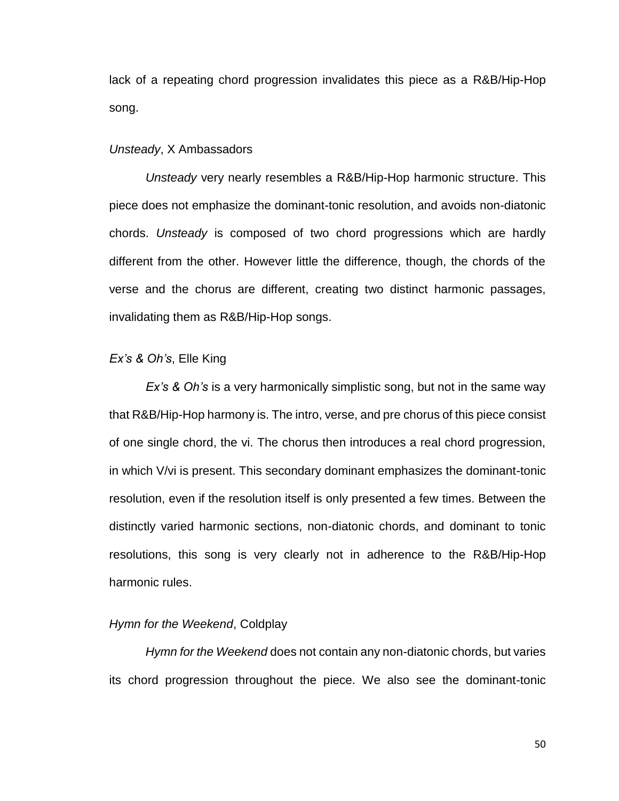lack of a repeating chord progression invalidates this piece as a R&B/Hip-Hop song.

#### *Unsteady*, X Ambassadors

*Unsteady* very nearly resembles a R&B/Hip-Hop harmonic structure. This piece does not emphasize the dominant-tonic resolution, and avoids non-diatonic chords. *Unsteady* is composed of two chord progressions which are hardly different from the other. However little the difference, though, the chords of the verse and the chorus are different, creating two distinct harmonic passages, invalidating them as R&B/Hip-Hop songs.

#### *Ex's & Oh's*, Elle King

*Ex's & Oh's* is a very harmonically simplistic song, but not in the same way that R&B/Hip-Hop harmony is. The intro, verse, and pre chorus of this piece consist of one single chord, the vi. The chorus then introduces a real chord progression, in which V/vi is present. This secondary dominant emphasizes the dominant-tonic resolution, even if the resolution itself is only presented a few times. Between the distinctly varied harmonic sections, non-diatonic chords, and dominant to tonic resolutions, this song is very clearly not in adherence to the R&B/Hip-Hop harmonic rules.

# *Hymn for the Weekend*, Coldplay

*Hymn for the Weekend* does not contain any non-diatonic chords, but varies its chord progression throughout the piece. We also see the dominant-tonic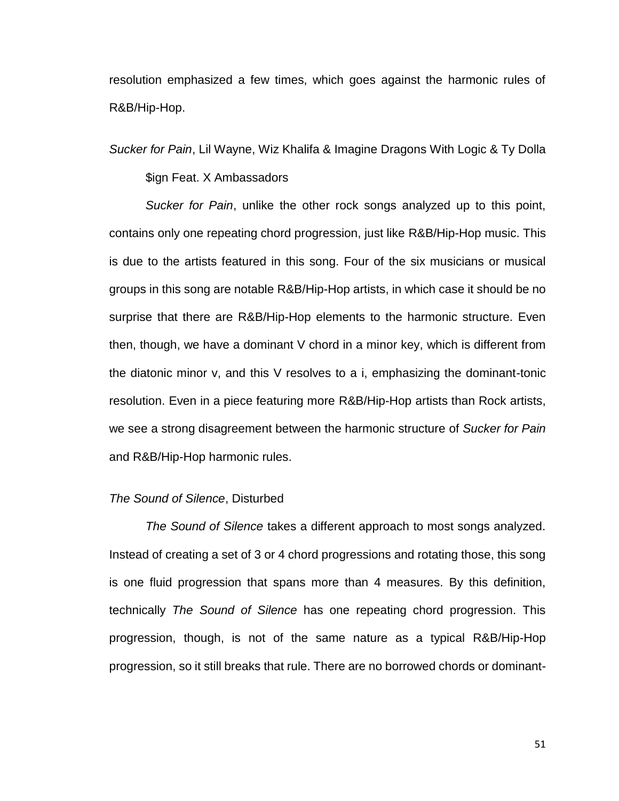resolution emphasized a few times, which goes against the harmonic rules of R&B/Hip-Hop.

*Sucker for Pain*, Lil Wayne, Wiz Khalifa & Imagine Dragons With Logic & Ty Dolla

# \$ign Feat. X Ambassadors

*Sucker for Pain*, unlike the other rock songs analyzed up to this point, contains only one repeating chord progression, just like R&B/Hip-Hop music. This is due to the artists featured in this song. Four of the six musicians or musical groups in this song are notable R&B/Hip-Hop artists, in which case it should be no surprise that there are R&B/Hip-Hop elements to the harmonic structure. Even then, though, we have a dominant V chord in a minor key, which is different from the diatonic minor v, and this V resolves to a i, emphasizing the dominant-tonic resolution. Even in a piece featuring more R&B/Hip-Hop artists than Rock artists, we see a strong disagreement between the harmonic structure of *Sucker for Pain* and R&B/Hip-Hop harmonic rules.

# *The Sound of Silence*, Disturbed

*The Sound of Silence* takes a different approach to most songs analyzed. Instead of creating a set of 3 or 4 chord progressions and rotating those, this song is one fluid progression that spans more than 4 measures. By this definition, technically *The Sound of Silence* has one repeating chord progression. This progression, though, is not of the same nature as a typical R&B/Hip-Hop progression, so it still breaks that rule. There are no borrowed chords or dominant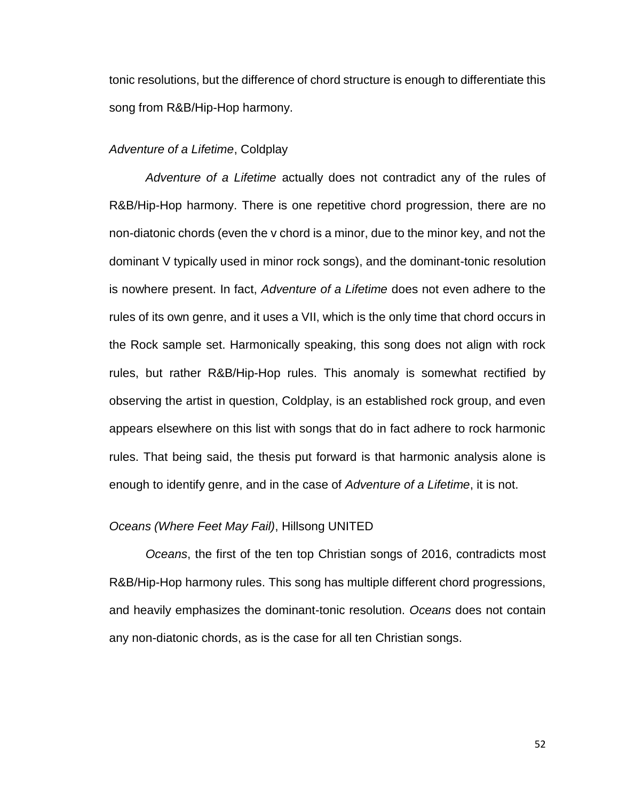tonic resolutions, but the difference of chord structure is enough to differentiate this song from R&B/Hip-Hop harmony.

# *Adventure of a Lifetime*, Coldplay

*Adventure of a Lifetime* actually does not contradict any of the rules of R&B/Hip-Hop harmony. There is one repetitive chord progression, there are no non-diatonic chords (even the v chord is a minor, due to the minor key, and not the dominant V typically used in minor rock songs), and the dominant-tonic resolution is nowhere present. In fact, *Adventure of a Lifetime* does not even adhere to the rules of its own genre, and it uses a VII, which is the only time that chord occurs in the Rock sample set. Harmonically speaking, this song does not align with rock rules, but rather R&B/Hip-Hop rules. This anomaly is somewhat rectified by observing the artist in question, Coldplay, is an established rock group, and even appears elsewhere on this list with songs that do in fact adhere to rock harmonic rules. That being said, the thesis put forward is that harmonic analysis alone is enough to identify genre, and in the case of *Adventure of a Lifetime*, it is not.

#### *Oceans (Where Feet May Fail)*, Hillsong UNITED

*Oceans*, the first of the ten top Christian songs of 2016, contradicts most R&B/Hip-Hop harmony rules. This song has multiple different chord progressions, and heavily emphasizes the dominant-tonic resolution. *Oceans* does not contain any non-diatonic chords, as is the case for all ten Christian songs.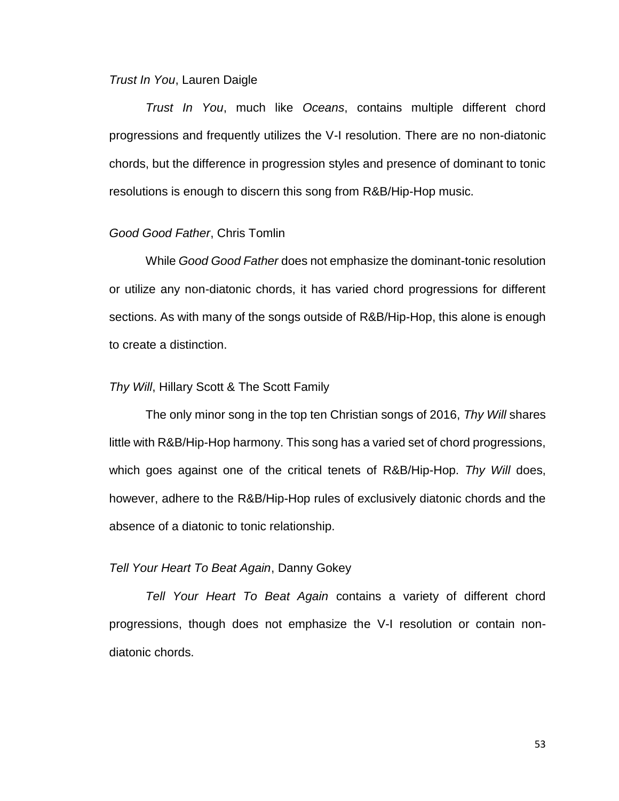#### *Trust In You*, Lauren Daigle

*Trust In You*, much like *Oceans*, contains multiple different chord progressions and frequently utilizes the V-I resolution. There are no non-diatonic chords, but the difference in progression styles and presence of dominant to tonic resolutions is enough to discern this song from R&B/Hip-Hop music.

# *Good Good Father*, Chris Tomlin

While *Good Good Father* does not emphasize the dominant-tonic resolution or utilize any non-diatonic chords, it has varied chord progressions for different sections. As with many of the songs outside of R&B/Hip-Hop, this alone is enough to create a distinction.

#### *Thy Will*, Hillary Scott & The Scott Family

The only minor song in the top ten Christian songs of 2016, *Thy Will* shares little with R&B/Hip-Hop harmony. This song has a varied set of chord progressions, which goes against one of the critical tenets of R&B/Hip-Hop. *Thy Will* does, however, adhere to the R&B/Hip-Hop rules of exclusively diatonic chords and the absence of a diatonic to tonic relationship.

#### *Tell Your Heart To Beat Again*, Danny Gokey

*Tell Your Heart To Beat Again* contains a variety of different chord progressions, though does not emphasize the V-I resolution or contain nondiatonic chords.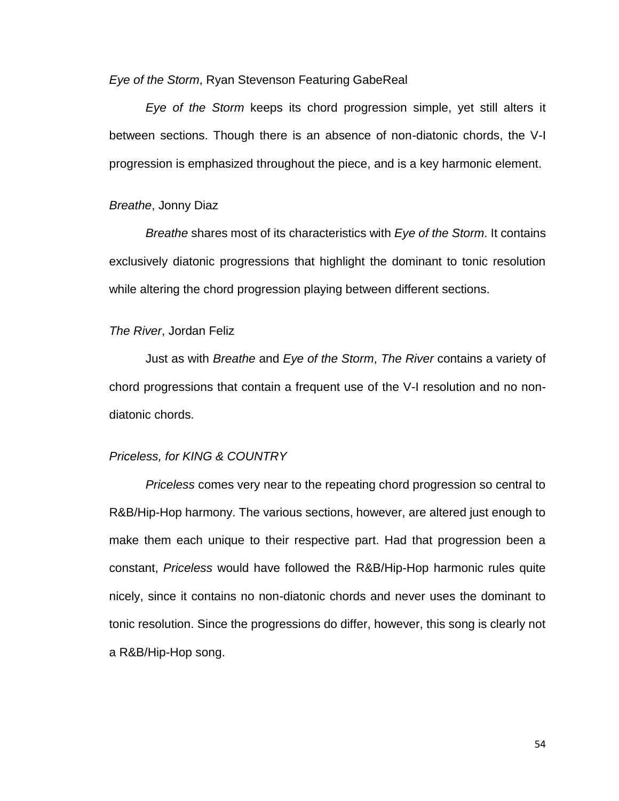*Eye of the Storm*, Ryan Stevenson Featuring GabeReal

*Eye of the Storm* keeps its chord progression simple, yet still alters it between sections. Though there is an absence of non-diatonic chords, the V-I progression is emphasized throughout the piece, and is a key harmonic element.

#### *Breathe*, Jonny Diaz

*Breathe* shares most of its characteristics with *Eye of the Storm*. It contains exclusively diatonic progressions that highlight the dominant to tonic resolution while altering the chord progression playing between different sections.

# *The River*, Jordan Feliz

Just as with *Breathe* and *Eye of the Storm*, *The River* contains a variety of chord progressions that contain a frequent use of the V-I resolution and no nondiatonic chords.

# *Priceless, for KING & COUNTRY*

*Priceless* comes very near to the repeating chord progression so central to R&B/Hip-Hop harmony. The various sections, however, are altered just enough to make them each unique to their respective part. Had that progression been a constant, *Priceless* would have followed the R&B/Hip-Hop harmonic rules quite nicely, since it contains no non-diatonic chords and never uses the dominant to tonic resolution. Since the progressions do differ, however, this song is clearly not a R&B/Hip-Hop song.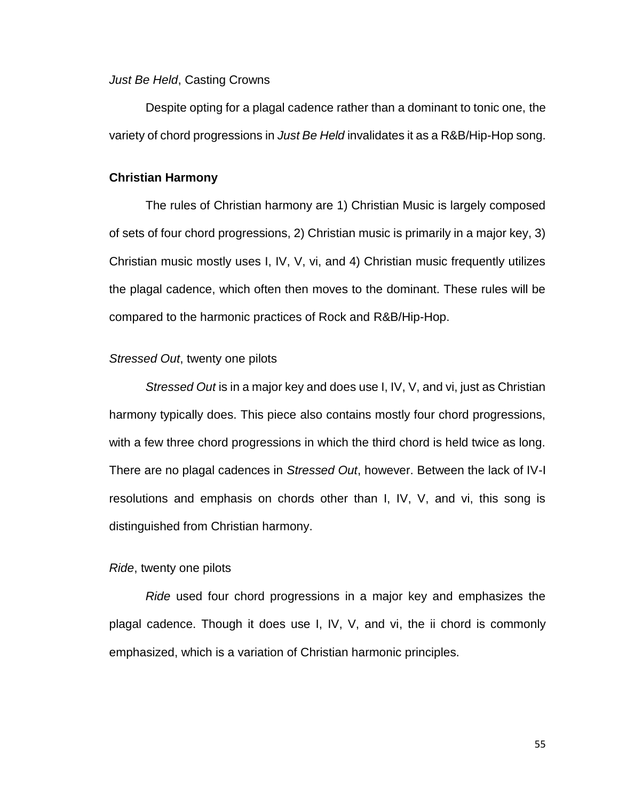# *Just Be Held*, Casting Crowns

Despite opting for a plagal cadence rather than a dominant to tonic one, the variety of chord progressions in *Just Be Held* invalidates it as a R&B/Hip-Hop song.

# **Christian Harmony**

The rules of Christian harmony are 1) Christian Music is largely composed of sets of four chord progressions, 2) Christian music is primarily in a major key, 3) Christian music mostly uses I, IV, V, vi, and 4) Christian music frequently utilizes the plagal cadence, which often then moves to the dominant. These rules will be compared to the harmonic practices of Rock and R&B/Hip-Hop.

### *Stressed Out*, twenty one pilots

*Stressed Out* is in a major key and does use I, IV, V, and vi, just as Christian harmony typically does. This piece also contains mostly four chord progressions, with a few three chord progressions in which the third chord is held twice as long. There are no plagal cadences in *Stressed Out*, however. Between the lack of IV-I resolutions and emphasis on chords other than I, IV, V, and vi, this song is distinguished from Christian harmony.

#### *Ride*, twenty one pilots

*Ride* used four chord progressions in a major key and emphasizes the plagal cadence. Though it does use I, IV, V, and vi, the ii chord is commonly emphasized, which is a variation of Christian harmonic principles.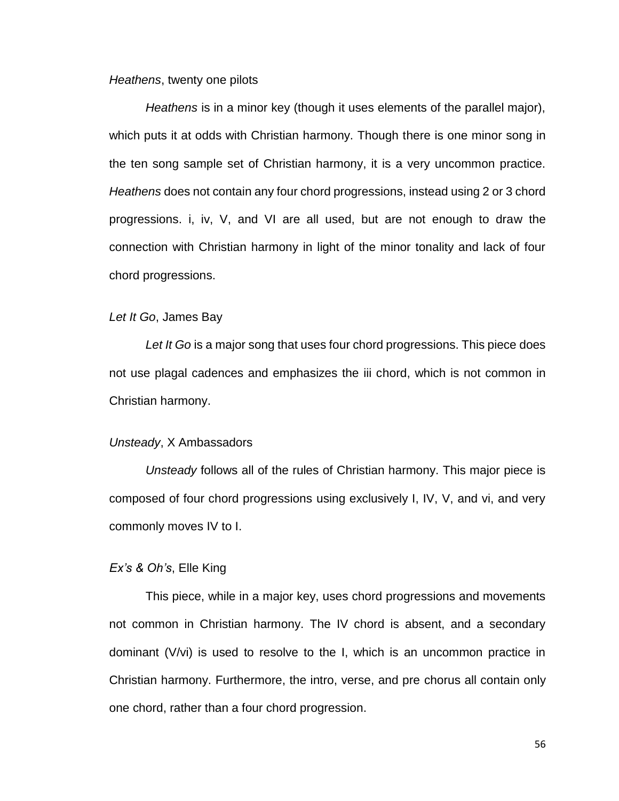# *Heathens*, twenty one pilots

*Heathens* is in a minor key (though it uses elements of the parallel major), which puts it at odds with Christian harmony. Though there is one minor song in the ten song sample set of Christian harmony, it is a very uncommon practice. *Heathens* does not contain any four chord progressions, instead using 2 or 3 chord progressions. i, iv, V, and VI are all used, but are not enough to draw the connection with Christian harmony in light of the minor tonality and lack of four chord progressions.

#### *Let It Go*, James Bay

Let It Go is a major song that uses four chord progressions. This piece does not use plagal cadences and emphasizes the iii chord, which is not common in Christian harmony.

#### *Unsteady*, X Ambassadors

*Unsteady* follows all of the rules of Christian harmony. This major piece is composed of four chord progressions using exclusively I, IV, V, and vi, and very commonly moves IV to I.

#### *Ex's & Oh's*, Elle King

This piece, while in a major key, uses chord progressions and movements not common in Christian harmony. The IV chord is absent, and a secondary dominant (V/vi) is used to resolve to the I, which is an uncommon practice in Christian harmony. Furthermore, the intro, verse, and pre chorus all contain only one chord, rather than a four chord progression.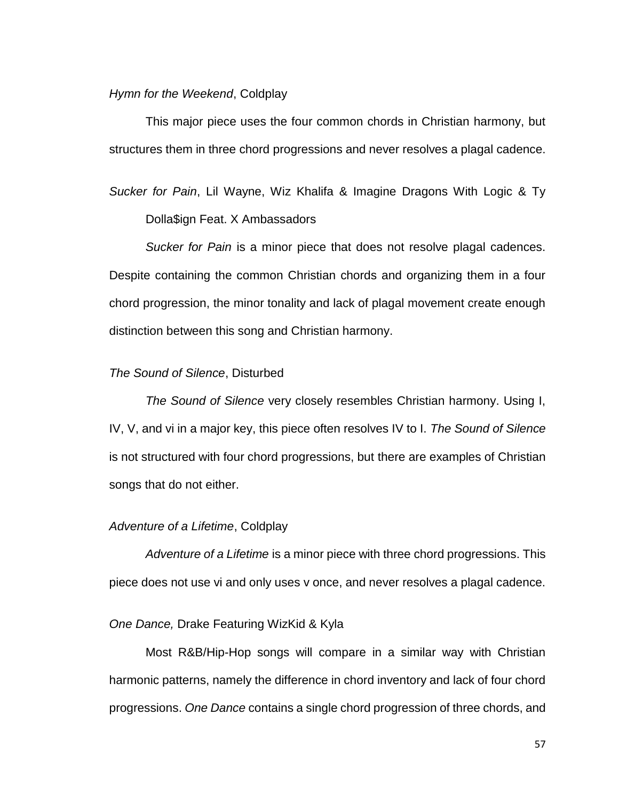#### *Hymn for the Weekend*, Coldplay

This major piece uses the four common chords in Christian harmony, but structures them in three chord progressions and never resolves a plagal cadence.

*Sucker for Pain*, Lil Wayne, Wiz Khalifa & Imagine Dragons With Logic & Ty Dolla\$ign Feat. X Ambassadors

*Sucker for Pain* is a minor piece that does not resolve plagal cadences. Despite containing the common Christian chords and organizing them in a four chord progression, the minor tonality and lack of plagal movement create enough distinction between this song and Christian harmony.

# *The Sound of Silence*, Disturbed

*The Sound of Silence* very closely resembles Christian harmony. Using I, IV, V, and vi in a major key, this piece often resolves IV to I. *The Sound of Silence* is not structured with four chord progressions, but there are examples of Christian songs that do not either.

#### *Adventure of a Lifetime*, Coldplay

*Adventure of a Lifetime* is a minor piece with three chord progressions. This piece does not use vi and only uses v once, and never resolves a plagal cadence.

# *One Dance,* Drake Featuring WizKid & Kyla

Most R&B/Hip-Hop songs will compare in a similar way with Christian harmonic patterns, namely the difference in chord inventory and lack of four chord progressions. *One Dance* contains a single chord progression of three chords, and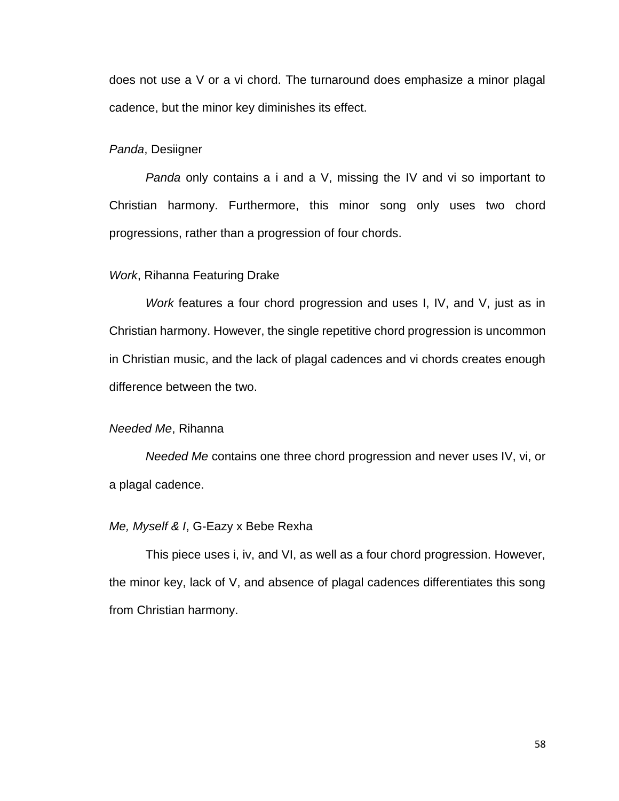does not use a V or a vi chord. The turnaround does emphasize a minor plagal cadence, but the minor key diminishes its effect.

# *Panda*, Desiigner

*Panda* only contains a i and a V, missing the IV and vi so important to Christian harmony. Furthermore, this minor song only uses two chord progressions, rather than a progression of four chords.

#### *Work*, Rihanna Featuring Drake

*Work* features a four chord progression and uses I, IV, and V, just as in Christian harmony. However, the single repetitive chord progression is uncommon in Christian music, and the lack of plagal cadences and vi chords creates enough difference between the two.

# *Needed Me*, Rihanna

*Needed Me* contains one three chord progression and never uses IV, vi, or a plagal cadence.

#### *Me, Myself & I*, G-Eazy x Bebe Rexha

This piece uses i, iv, and VI, as well as a four chord progression. However, the minor key, lack of V, and absence of plagal cadences differentiates this song from Christian harmony.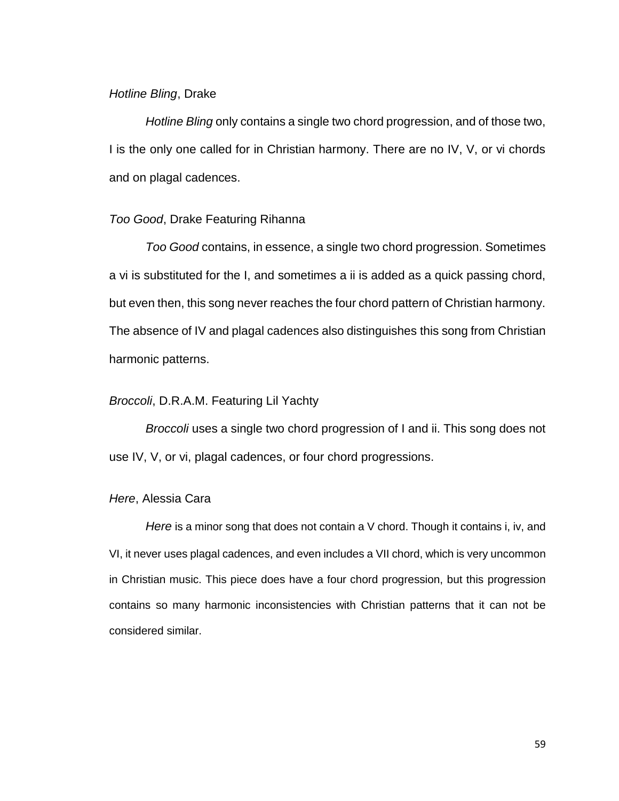#### *Hotline Bling*, Drake

*Hotline Bling* only contains a single two chord progression, and of those two, I is the only one called for in Christian harmony. There are no IV, V, or vi chords and on plagal cadences.

# *Too Good*, Drake Featuring Rihanna

*Too Good* contains, in essence, a single two chord progression. Sometimes a vi is substituted for the I, and sometimes a ii is added as a quick passing chord, but even then, this song never reaches the four chord pattern of Christian harmony. The absence of IV and plagal cadences also distinguishes this song from Christian harmonic patterns.

#### *Broccoli*, D.R.A.M. Featuring Lil Yachty

*Broccoli* uses a single two chord progression of I and ii. This song does not use IV, V, or vi, plagal cadences, or four chord progressions.

#### *Here*, Alessia Cara

*Here* is a minor song that does not contain a V chord. Though it contains i, iv, and VI, it never uses plagal cadences, and even includes a VII chord, which is very uncommon in Christian music. This piece does have a four chord progression, but this progression contains so many harmonic inconsistencies with Christian patterns that it can not be considered similar.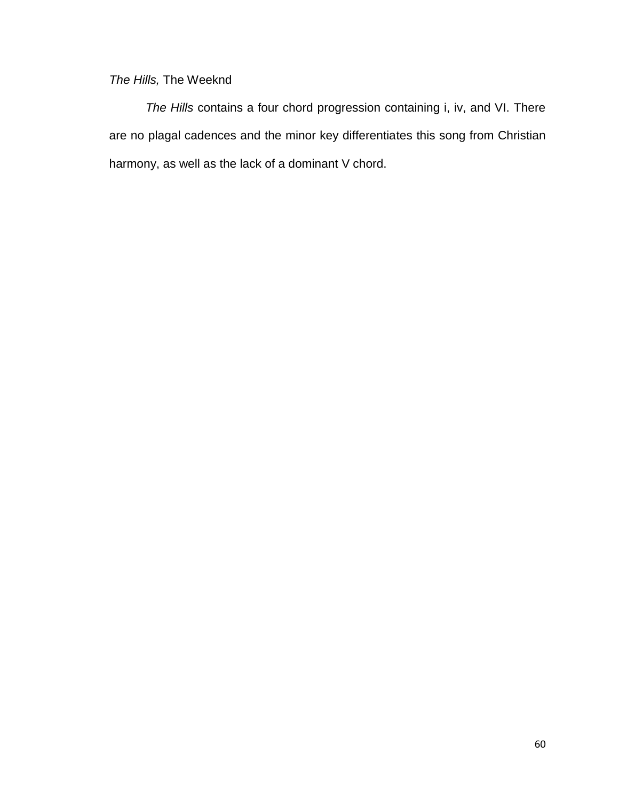# *The Hills,* The Weeknd

*The Hills* contains a four chord progression containing i, iv, and VI. There are no plagal cadences and the minor key differentiates this song from Christian harmony, as well as the lack of a dominant V chord.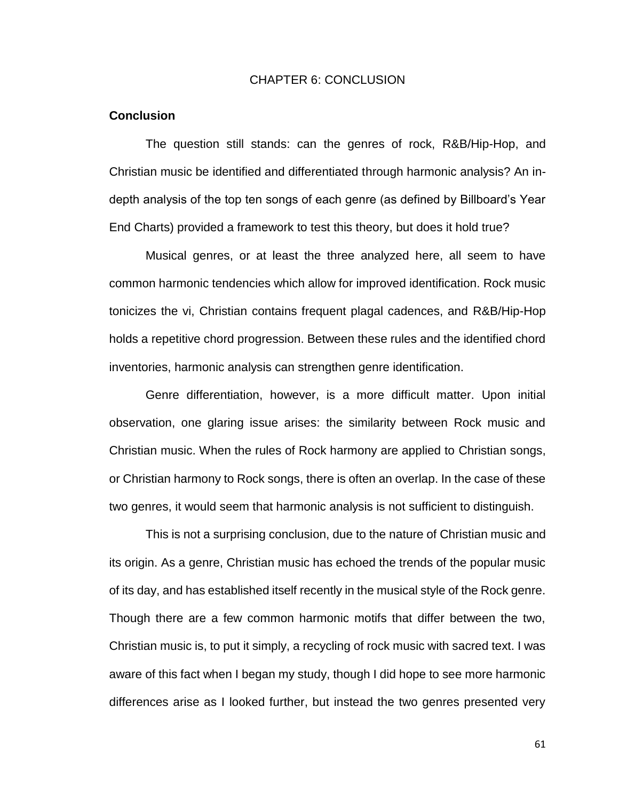# CHAPTER 6: CONCLUSION

#### **Conclusion**

The question still stands: can the genres of rock, R&B/Hip-Hop, and Christian music be identified and differentiated through harmonic analysis? An indepth analysis of the top ten songs of each genre (as defined by Billboard's Year End Charts) provided a framework to test this theory, but does it hold true?

Musical genres, or at least the three analyzed here, all seem to have common harmonic tendencies which allow for improved identification. Rock music tonicizes the vi, Christian contains frequent plagal cadences, and R&B/Hip-Hop holds a repetitive chord progression. Between these rules and the identified chord inventories, harmonic analysis can strengthen genre identification.

Genre differentiation, however, is a more difficult matter. Upon initial observation, one glaring issue arises: the similarity between Rock music and Christian music. When the rules of Rock harmony are applied to Christian songs, or Christian harmony to Rock songs, there is often an overlap. In the case of these two genres, it would seem that harmonic analysis is not sufficient to distinguish.

This is not a surprising conclusion, due to the nature of Christian music and its origin. As a genre, Christian music has echoed the trends of the popular music of its day, and has established itself recently in the musical style of the Rock genre. Though there are a few common harmonic motifs that differ between the two, Christian music is, to put it simply, a recycling of rock music with sacred text. I was aware of this fact when I began my study, though I did hope to see more harmonic differences arise as I looked further, but instead the two genres presented very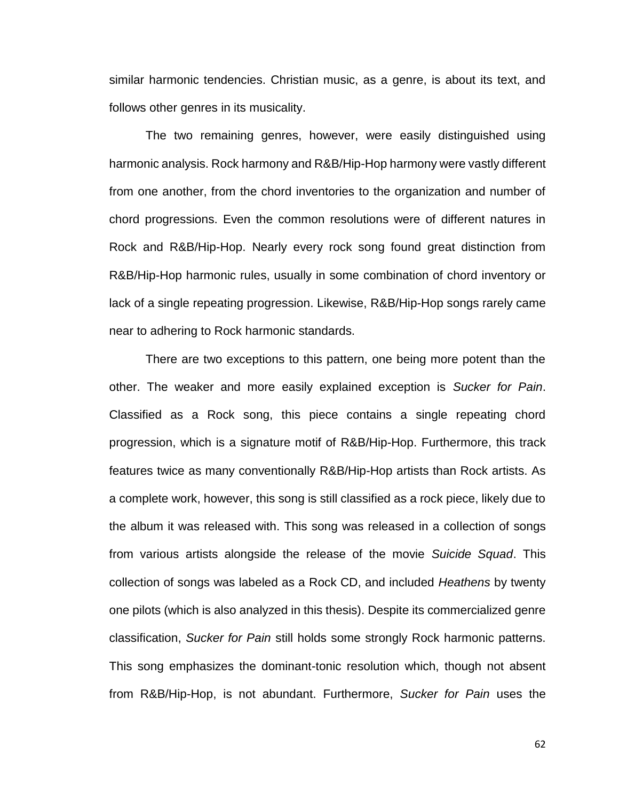similar harmonic tendencies. Christian music, as a genre, is about its text, and follows other genres in its musicality.

The two remaining genres, however, were easily distinguished using harmonic analysis. Rock harmony and R&B/Hip-Hop harmony were vastly different from one another, from the chord inventories to the organization and number of chord progressions. Even the common resolutions were of different natures in Rock and R&B/Hip-Hop. Nearly every rock song found great distinction from R&B/Hip-Hop harmonic rules, usually in some combination of chord inventory or lack of a single repeating progression. Likewise, R&B/Hip-Hop songs rarely came near to adhering to Rock harmonic standards.

There are two exceptions to this pattern, one being more potent than the other. The weaker and more easily explained exception is *Sucker for Pain*. Classified as a Rock song, this piece contains a single repeating chord progression, which is a signature motif of R&B/Hip-Hop. Furthermore, this track features twice as many conventionally R&B/Hip-Hop artists than Rock artists. As a complete work, however, this song is still classified as a rock piece, likely due to the album it was released with. This song was released in a collection of songs from various artists alongside the release of the movie *Suicide Squad*. This collection of songs was labeled as a Rock CD, and included *Heathens* by twenty one pilots (which is also analyzed in this thesis). Despite its commercialized genre classification, *Sucker for Pain* still holds some strongly Rock harmonic patterns. This song emphasizes the dominant-tonic resolution which, though not absent from R&B/Hip-Hop, is not abundant. Furthermore, *Sucker for Pain* uses the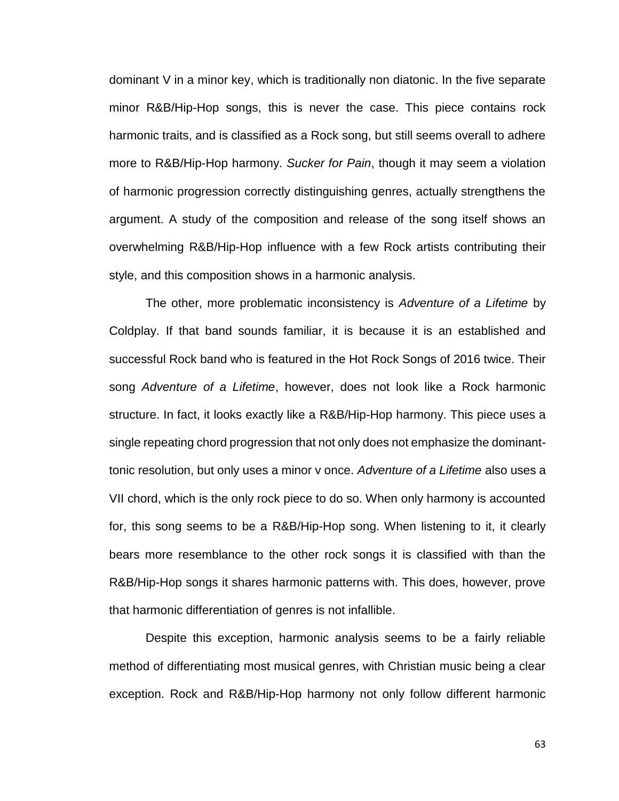dominant V in a minor key, which is traditionally non diatonic. In the five separate minor R&B/Hip-Hop songs, this is never the case. This piece contains rock harmonic traits, and is classified as a Rock song, but still seems overall to adhere more to R&B/Hip-Hop harmony. *Sucker for Pain*, though it may seem a violation of harmonic progression correctly distinguishing genres, actually strengthens the argument. A study of the composition and release of the song itself shows an overwhelming R&B/Hip-Hop influence with a few Rock artists contributing their style, and this composition shows in a harmonic analysis.

The other, more problematic inconsistency is *Adventure of a Lifetime* by Coldplay. If that band sounds familiar, it is because it is an established and successful Rock band who is featured in the Hot Rock Songs of 2016 twice. Their song *Adventure of a Lifetime*, however, does not look like a Rock harmonic structure. In fact, it looks exactly like a R&B/Hip-Hop harmony. This piece uses a single repeating chord progression that not only does not emphasize the dominanttonic resolution, but only uses a minor v once. *Adventure of a Lifetime* also uses a VII chord, which is the only rock piece to do so. When only harmony is accounted for, this song seems to be a R&B/Hip-Hop song. When listening to it, it clearly bears more resemblance to the other rock songs it is classified with than the R&B/Hip-Hop songs it shares harmonic patterns with. This does, however, prove that harmonic differentiation of genres is not infallible.

Despite this exception, harmonic analysis seems to be a fairly reliable method of differentiating most musical genres, with Christian music being a clear exception. Rock and R&B/Hip-Hop harmony not only follow different harmonic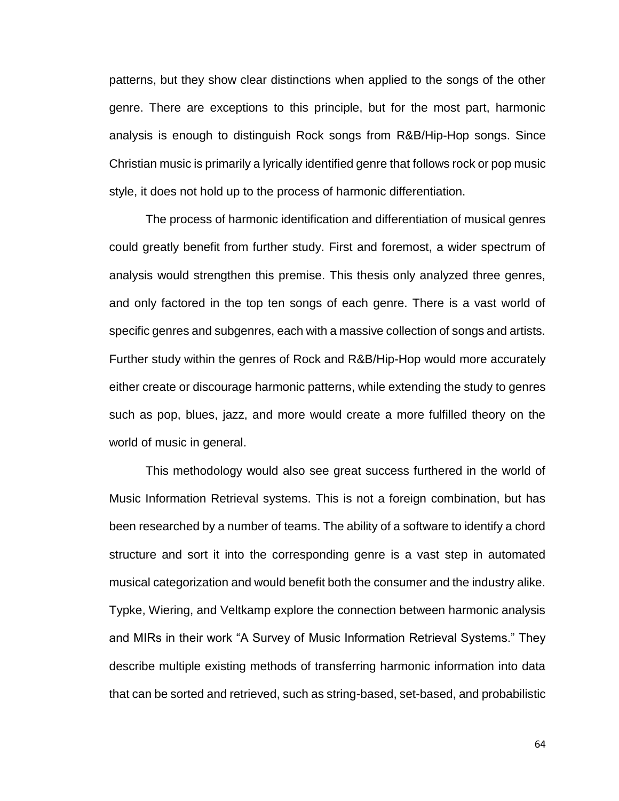patterns, but they show clear distinctions when applied to the songs of the other genre. There are exceptions to this principle, but for the most part, harmonic analysis is enough to distinguish Rock songs from R&B/Hip-Hop songs. Since Christian music is primarily a lyrically identified genre that follows rock or pop music style, it does not hold up to the process of harmonic differentiation.

The process of harmonic identification and differentiation of musical genres could greatly benefit from further study. First and foremost, a wider spectrum of analysis would strengthen this premise. This thesis only analyzed three genres, and only factored in the top ten songs of each genre. There is a vast world of specific genres and subgenres, each with a massive collection of songs and artists. Further study within the genres of Rock and R&B/Hip-Hop would more accurately either create or discourage harmonic patterns, while extending the study to genres such as pop, blues, jazz, and more would create a more fulfilled theory on the world of music in general.

This methodology would also see great success furthered in the world of Music Information Retrieval systems. This is not a foreign combination, but has been researched by a number of teams. The ability of a software to identify a chord structure and sort it into the corresponding genre is a vast step in automated musical categorization and would benefit both the consumer and the industry alike. Typke, Wiering, and Veltkamp explore the connection between harmonic analysis and MIRs in their work "A Survey of Music Information Retrieval Systems." They describe multiple existing methods of transferring harmonic information into data that can be sorted and retrieved, such as string-based, set-based, and probabilistic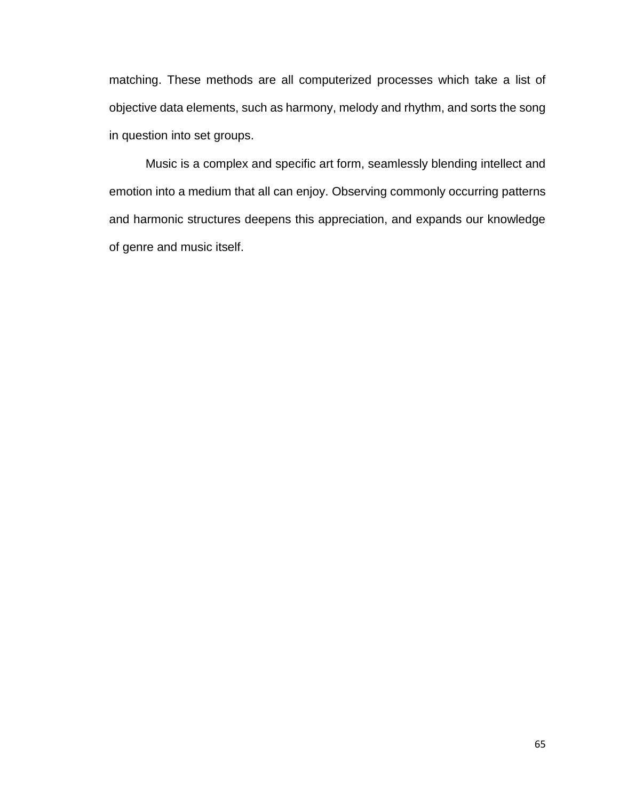matching. These methods are all computerized processes which take a list of objective data elements, such as harmony, melody and rhythm, and sorts the song in question into set groups.

Music is a complex and specific art form, seamlessly blending intellect and emotion into a medium that all can enjoy. Observing commonly occurring patterns and harmonic structures deepens this appreciation, and expands our knowledge of genre and music itself.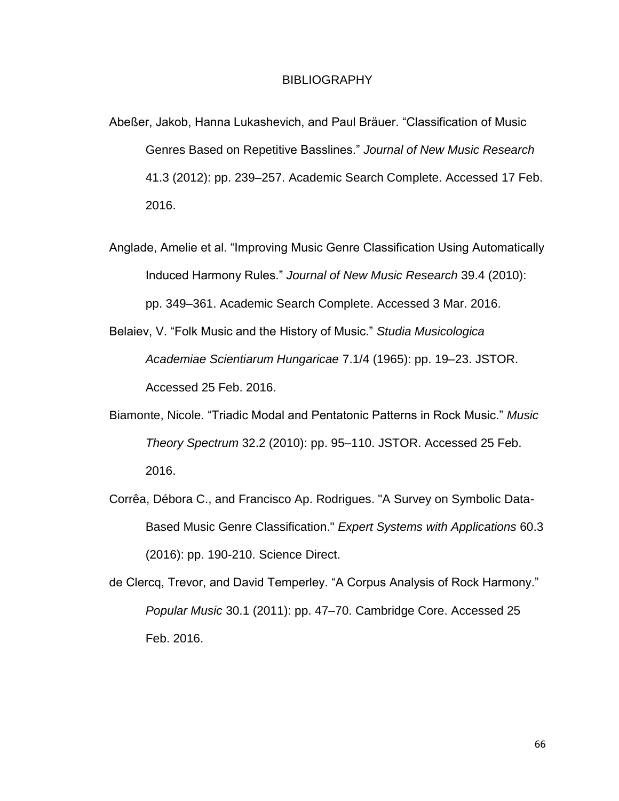## BIBLIOGRAPHY

- Abeßer, Jakob, Hanna Lukashevich, and Paul Bräuer. "Classification of Music Genres Based on Repetitive Basslines." *Journal of New Music Research* 41.3 (2012): pp. 239–257. Academic Search Complete. Accessed 17 Feb. 2016.
- Anglade, Amelie et al. "Improving Music Genre Classification Using Automatically Induced Harmony Rules." *Journal of New Music Research* 39.4 (2010): pp. 349–361. Academic Search Complete. Accessed 3 Mar. 2016.
- Belaiev, V. "Folk Music and the History of Music." *Studia Musicologica Academiae Scientiarum Hungaricae* 7.1/4 (1965): pp. 19–23. JSTOR. Accessed 25 Feb. 2016.
- Biamonte, Nicole. "Triadic Modal and Pentatonic Patterns in Rock Music." *Music Theory Spectrum* 32.2 (2010): pp. 95–110. JSTOR. Accessed 25 Feb. 2016.
- Corrêa, Débora C., and Francisco Ap. Rodrigues. "A Survey on Symbolic Data-Based Music Genre Classification." *Expert Systems with Applications* 60.3 (2016): pp. 190-210. Science Direct.
- de Clercq, Trevor, and David Temperley. "A Corpus Analysis of Rock Harmony." *Popular Music* 30.1 (2011): pp. 47–70. Cambridge Core. Accessed 25 Feb. 2016.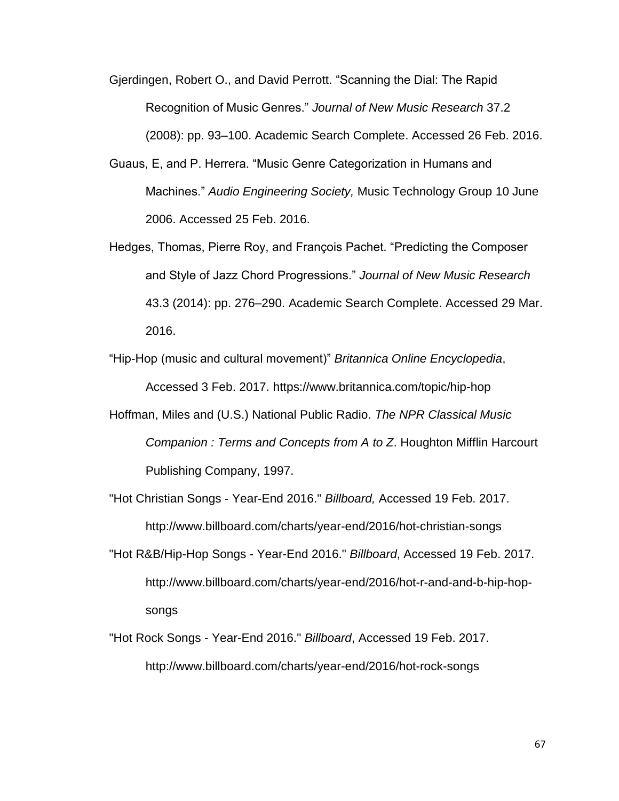Gjerdingen, Robert O., and David Perrott. "Scanning the Dial: The Rapid Recognition of Music Genres." *Journal of New Music Research* 37.2 (2008): pp. 93–100. Academic Search Complete. Accessed 26 Feb. 2016.

- Guaus, E, and P. Herrera. "Music Genre Categorization in Humans and Machines." *Audio Engineering Society,* Music Technology Group 10 June 2006. Accessed 25 Feb. 2016.
- Hedges, Thomas, Pierre Roy, and François Pachet. "Predicting the Composer and Style of Jazz Chord Progressions." *Journal of New Music Research* 43.3 (2014): pp. 276–290. Academic Search Complete. Accessed 29 Mar. 2016.
- "Hip-Hop (music and cultural movement)" *Britannica Online Encyclopedia*, Accessed 3 Feb. 2017. https://www.britannica.com/topic/hip-hop
- Hoffman, Miles and (U.S.) National Public Radio. *The NPR Classical Music Companion : Terms and Concepts from A to Z*. Houghton Mifflin Harcourt Publishing Company, 1997.
- "Hot Christian Songs Year-End 2016." *Billboard,* Accessed 19 Feb. 2017. http://www.billboard.com/charts/year-end/2016/hot-christian-songs
- "Hot R&B/Hip-Hop Songs Year-End 2016." *Billboard*, Accessed 19 Feb. 2017. http://www.billboard.com/charts/year-end/2016/hot-r-and-and-b-hip-hopsongs
- "Hot Rock Songs Year-End 2016." *Billboard*, Accessed 19 Feb. 2017. http://www.billboard.com/charts/year-end/2016/hot-rock-songs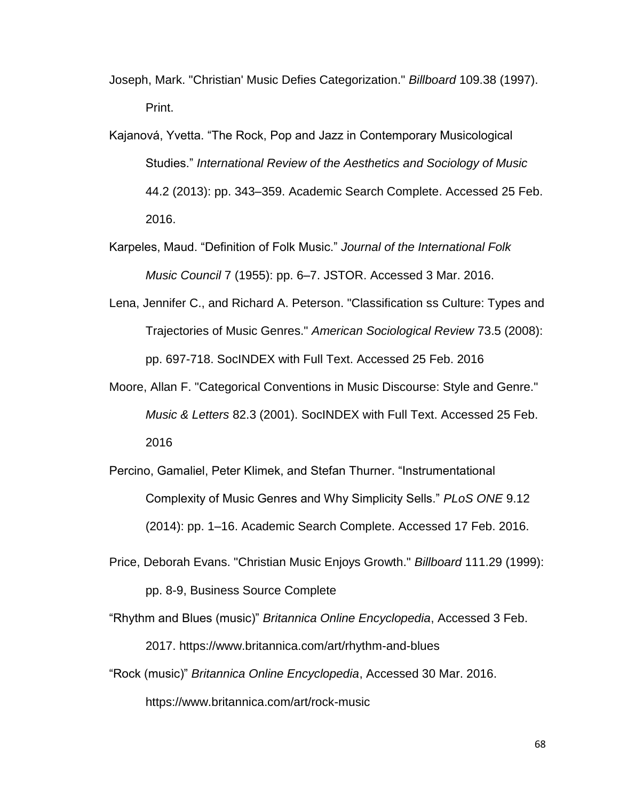- Joseph, Mark. "Christian' Music Defies Categorization." *Billboard* 109.38 (1997). Print.
- Kajanová, Yvetta. "The Rock, Pop and Jazz in Contemporary Musicological Studies." *International Review of the Aesthetics and Sociology of Music* 44.2 (2013): pp. 343–359. Academic Search Complete. Accessed 25 Feb. 2016.
- Karpeles, Maud. "Definition of Folk Music." *Journal of the International Folk Music Council* 7 (1955): pp. 6–7. JSTOR. Accessed 3 Mar. 2016.
- Lena, Jennifer C., and Richard A. Peterson. "Classification ss Culture: Types and Trajectories of Music Genres." *American Sociological Review* 73.5 (2008): pp. 697-718. SocINDEX with Full Text. Accessed 25 Feb. 2016
- Moore, Allan F. "Categorical Conventions in Music Discourse: Style and Genre." *Music & Letters* 82.3 (2001). SocINDEX with Full Text. Accessed 25 Feb. 2016
- Percino, Gamaliel, Peter Klimek, and Stefan Thurner. "Instrumentational Complexity of Music Genres and Why Simplicity Sells." *PLoS ONE* 9.12 (2014): pp. 1–16. Academic Search Complete. Accessed 17 Feb. 2016.
- Price, Deborah Evans. "Christian Music Enjoys Growth." *Billboard* 111.29 (1999): pp. 8-9, Business Source Complete
- "Rhythm and Blues (music)" *Britannica Online Encyclopedia*, Accessed 3 Feb. 2017. https://www.britannica.com/art/rhythm-and-blues
- "Rock (music)" *Britannica Online Encyclopedia*, Accessed 30 Mar. 2016. https://www.britannica.com/art/rock-music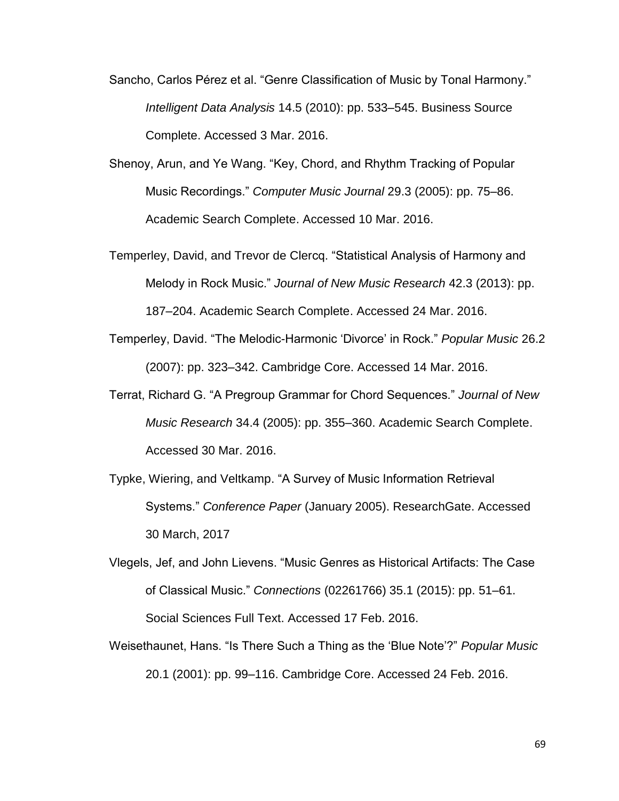- Sancho, Carlos Pérez et al. "Genre Classification of Music by Tonal Harmony." *Intelligent Data Analysis* 14.5 (2010): pp. 533–545. Business Source Complete. Accessed 3 Mar. 2016.
- Shenoy, Arun, and Ye Wang. "Key, Chord, and Rhythm Tracking of Popular Music Recordings." *Computer Music Journal* 29.3 (2005): pp. 75–86. Academic Search Complete. Accessed 10 Mar. 2016.
- Temperley, David, and Trevor de Clercq. "Statistical Analysis of Harmony and Melody in Rock Music." *Journal of New Music Research* 42.3 (2013): pp. 187–204. Academic Search Complete. Accessed 24 Mar. 2016.
- Temperley, David. "The Melodic-Harmonic 'Divorce' in Rock." *Popular Music* 26.2 (2007): pp. 323–342. Cambridge Core. Accessed 14 Mar. 2016.
- Terrat, Richard G. "A Pregroup Grammar for Chord Sequences." *Journal of New Music Research* 34.4 (2005): pp. 355–360. Academic Search Complete. Accessed 30 Mar. 2016.
- Typke, Wiering, and Veltkamp. "A Survey of Music Information Retrieval Systems." *Conference Paper* (January 2005). ResearchGate. Accessed 30 March, 2017
- Vlegels, Jef, and John Lievens. "Music Genres as Historical Artifacts: The Case of Classical Music." *Connections* (02261766) 35.1 (2015): pp. 51–61. Social Sciences Full Text. Accessed 17 Feb. 2016.
- Weisethaunet, Hans. "Is There Such a Thing as the 'Blue Note'?" *Popular Music* 20.1 (2001): pp. 99–116. Cambridge Core. Accessed 24 Feb. 2016.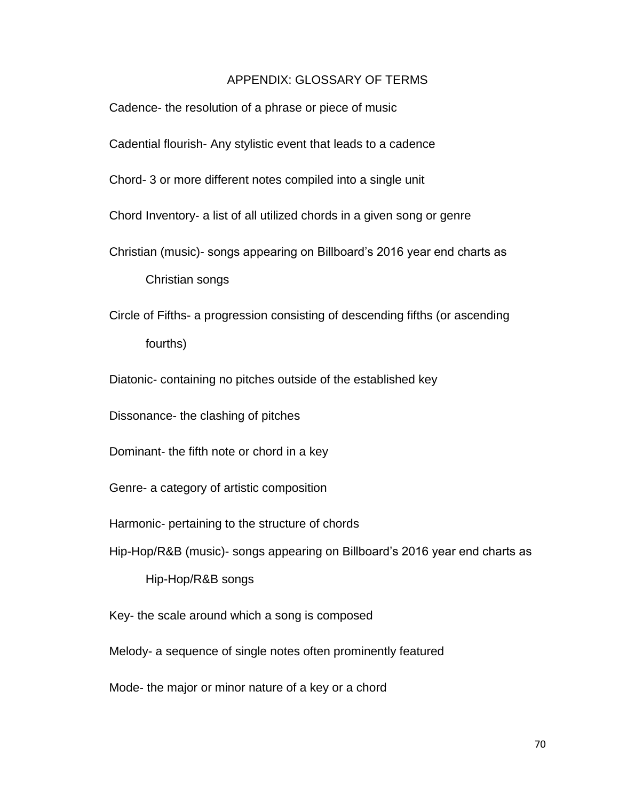## APPENDIX: GLOSSARY OF TERMS

- Cadence- the resolution of a phrase or piece of music
- Cadential flourish- Any stylistic event that leads to a cadence
- Chord- 3 or more different notes compiled into a single unit
- Chord Inventory- a list of all utilized chords in a given song or genre
- Christian (music)- songs appearing on Billboard's 2016 year end charts as

Christian songs

- Circle of Fifths- a progression consisting of descending fifths (or ascending fourths)
- Diatonic- containing no pitches outside of the established key

Dissonance- the clashing of pitches

- Dominant- the fifth note or chord in a key
- Genre- a category of artistic composition
- Harmonic- pertaining to the structure of chords
- Hip-Hop/R&B (music)- songs appearing on Billboard's 2016 year end charts as

Hip-Hop/R&B songs

Key- the scale around which a song is composed

Melody- a sequence of single notes often prominently featured

Mode- the major or minor nature of a key or a chord